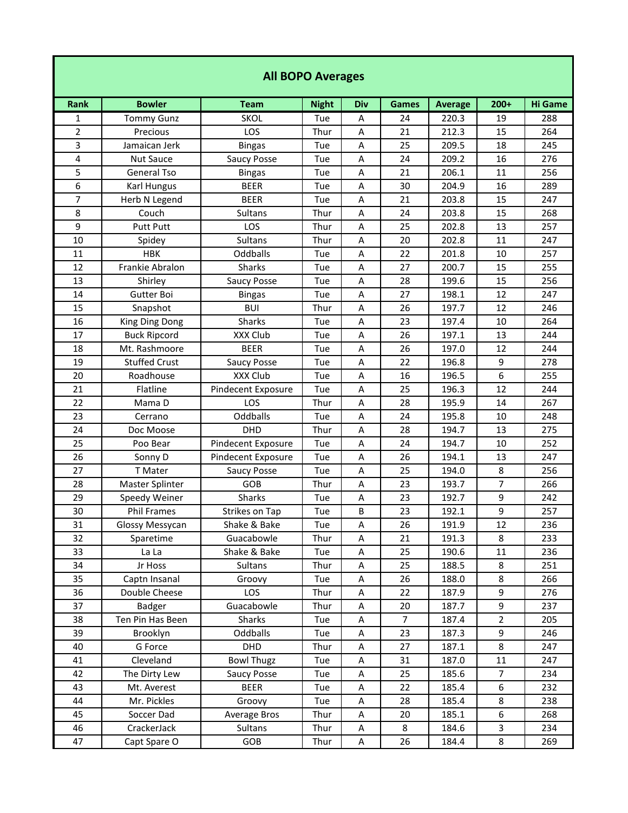## **All BOPO Averages**

| <b>Rank</b>    | <b>Bowler</b>        | <b>Team</b>               | <b>Night</b> | Div         | <b>Games</b>   | <b>Average</b> | $200+$           | <b>Hi Game</b> |
|----------------|----------------------|---------------------------|--------------|-------------|----------------|----------------|------------------|----------------|
| 1              | <b>Tommy Gunz</b>    | <b>SKOL</b>               | Tue          | Α           | 24             | 220.3          | 19               | 288            |
| $\overline{2}$ | Precious             | LOS                       | Thur         | $\mathsf A$ | 21             | 212.3          | 15               | 264            |
| 3              | Jamaican Jerk        | <b>Bingas</b>             | Tue          | $\mathsf A$ | 25             | 209.5          | 18               | 245            |
| 4              | <b>Nut Sauce</b>     | <b>Saucy Posse</b>        | Tue          | A           | 24             | 209.2          | 16               | 276            |
| 5              | <b>General Tso</b>   | <b>Bingas</b>             | Tue          | A           | 21             | 206.1          | 11               | 256            |
| 6              | <b>Karl Hungus</b>   | <b>BEER</b>               | Tue          | A           | 30             | 204.9          | 16               | 289            |
| $\overline{7}$ | Herb N Legend        | <b>BEER</b>               | Tue          | A           | 21             | 203.8          | 15               | 247            |
| 8              | Couch                | Sultans                   | Thur         | A           | 24             | 203.8          | 15               | 268            |
| 9              | <b>Putt Putt</b>     | LOS                       | Thur         | A           | 25             | 202.8          | 13               | 257            |
| 10             | Spidey               | <b>Sultans</b>            | Thur         | A           | 20             | 202.8          | 11               | 247            |
| 11             | <b>HBK</b>           | Oddballs                  | Tue          | A           | 22             | 201.8          | 10               | 257            |
| 12             | Frankie Abralon      | Sharks                    | Tue          | A           | 27             | 200.7          | 15               | 255            |
| 13             | Shirley              | <b>Saucy Posse</b>        | Tue          | $\mathsf A$ | 28             | 199.6          | 15               | 256            |
| 14             | Gutter Boi           | <b>Bingas</b>             | Tue          | $\mathsf A$ | 27             | 198.1          | 12               | 247            |
| 15             | Snapshot             | <b>BUI</b>                | Thur         | A           | 26             | 197.7          | 12               | 246            |
| 16             | King Ding Dong       | Sharks                    | Tue          | A           | 23             | 197.4          | 10               | 264            |
| 17             | <b>Buck Ripcord</b>  | XXX Club                  | Tue          | A           | 26             | 197.1          | 13               | 244            |
| 18             | Mt. Rashmoore        | <b>BEER</b>               | Tue          | A           | 26             | 197.0          | 12               | 244            |
| 19             | <b>Stuffed Crust</b> | <b>Saucy Posse</b>        | Tue          | A           | 22             | 196.8          | 9                | 278            |
| 20             | Roadhouse            | XXX Club                  | Tue          | A           | 16             | 196.5          | $\boldsymbol{6}$ | 255            |
| 21             | Flatline             | <b>Pindecent Exposure</b> | Tue          | A           | 25             | 196.3          | 12               | 244            |
| 22             | Mama D               | LOS                       | Thur         | A           | 28             | 195.9          | 14               | 267            |
| 23             | Cerrano              | Oddballs                  | Tue          | $\mathsf A$ | 24             | 195.8          | 10               | 248            |
| 24             | Doc Moose            | <b>DHD</b>                | Thur         | A           | 28             | 194.7          | 13               | 275            |
| 25             | Poo Bear             | Pindecent Exposure        | Tue          | A           | 24             | 194.7          | 10               | 252            |
| 26             | Sonny D              | Pindecent Exposure        | Tue          | A           | 26             | 194.1          | 13               | 247            |
| 27             | T Mater              | Saucy Posse               | Tue          | A           | 25             | 194.0          | 8                | 256            |
| 28             | Master Splinter      | GOB                       | Thur         | A           | 23             | 193.7          | 7                | 266            |
| 29             | Speedy Weiner        | Sharks                    | Tue          | A           | 23             | 192.7          | 9                | 242            |
| 30             | <b>Phil Frames</b>   | Strikes on Tap            | Tue          | $\sf B$     | 23             | 192.1          | 9                | 257            |
| 31             | Glossy Messycan      | Shake & Bake              | Tue          | A           | 26             | 191.9          | 12               | 236            |
| 32             | Sparetime            | Guacabowle                | Thur         | A           | 21             | 191.3          | 8                | 233            |
| 33             | La La                | Shake & Bake              | Tue          | $\sf A$     | 25             | 190.6          | 11               | 236            |
| 34             | Jr Hoss              | Sultans                   | Thur         | A           | 25             | 188.5          | 8                | 251            |
| 35             | Captn Insanal        | Groovy                    | Tue          | Α           | 26             | 188.0          | 8                | 266            |
| 36             | Double Cheese        | LOS                       | Thur         | Α           | 22             | 187.9          | 9                | 276            |
| 37             | Badger               | Guacabowle                | Thur         | A           | 20             | 187.7          | 9                | 237            |
| 38             | Ten Pin Has Been     | Sharks                    | Tue          | A           | $\overline{7}$ | 187.4          | $\overline{2}$   | 205            |
| 39             | Brooklyn             | Oddballs                  | Tue          | A           | 23             | 187.3          | 9                | 246            |
| 40             | G Force              | DHD                       | Thur         | Α           | 27             | 187.1          | 8                | 247            |
| 41             | Cleveland            | <b>Bowl Thugz</b>         | Tue          | Α           | 31             | 187.0          | 11               | 247            |
| 42             | The Dirty Lew        | Saucy Posse               | Tue          | A           | 25             | 185.6          | $\overline{7}$   | 234            |
| 43             | Mt. Averest          | <b>BEER</b>               | Tue          | Α           | 22             | 185.4          | 6                | 232            |
| 44             | Mr. Pickles          | Groovy                    | Tue          | Α           | 28             | 185.4          | 8                | 238            |
| 45             | Soccer Dad           | Average Bros              | Thur         | Α           | 20             | 185.1          | 6                | 268            |
| 46             | CrackerJack          | Sultans                   | Thur         | A           | 8              | 184.6          | 3                | 234            |
| 47             | Capt Spare O         | GOB                       | Thur         | A           | 26             | 184.4          | 8                | 269            |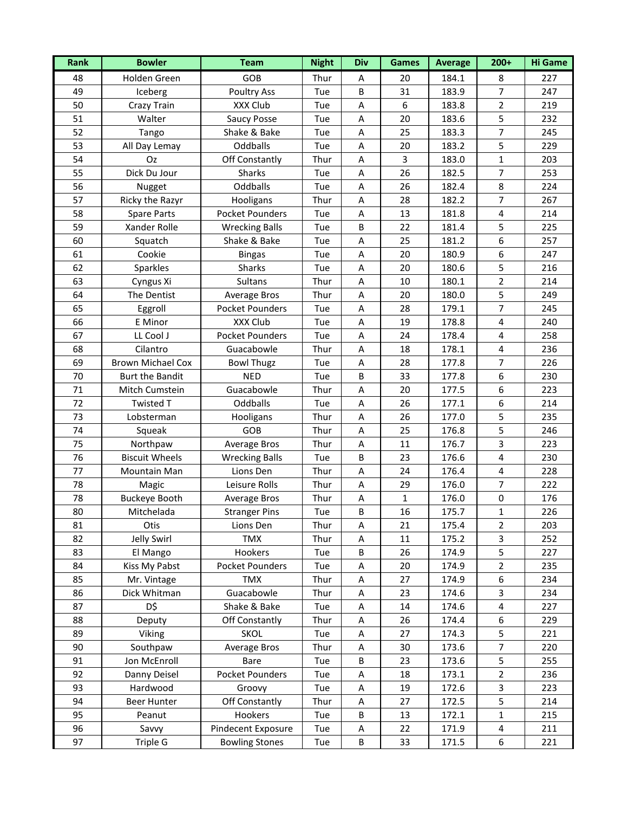| <b>Rank</b> | <b>Bowler</b>            | <b>Team</b>            | <b>Night</b> | <b>Div</b> | <b>Games</b> | <b>Average</b> | $200+$           | <b>Hi Game</b> |
|-------------|--------------------------|------------------------|--------------|------------|--------------|----------------|------------------|----------------|
| 48          | Holden Green             | GOB                    | Thur         | A          | 20           | 184.1          | 8                | 227            |
| 49          | Iceberg                  | <b>Poultry Ass</b>     | Tue          | B          | 31           | 183.9          | $\overline{7}$   | 247            |
| 50          | Crazy Train              | XXX Club               | Tue          | Α          | 6            | 183.8          | $\overline{2}$   | 219            |
| 51          | Walter                   | Saucy Posse            | Tue          | A          | 20           | 183.6          | 5                | 232            |
| 52          | Tango                    | Shake & Bake           | Tue          | A          | 25           | 183.3          | 7                | 245            |
| 53          | All Day Lemay            | Oddballs               | Tue          | A          | 20           | 183.2          | 5                | 229            |
| 54          | Oz                       | Off Constantly         | Thur         | A          | $\mathbf{3}$ | 183.0          | $\mathbf{1}$     | 203            |
| 55          | Dick Du Jour             | Sharks                 | Tue          | Α          | 26           | 182.5          | $\overline{7}$   | 253            |
| 56          | Nugget                   | Oddballs               | Tue          | A          | 26           | 182.4          | 8                | 224            |
| 57          | Ricky the Razyr          | Hooligans              | Thur         | A          | 28           | 182.2          | 7                | 267            |
| 58          | <b>Spare Parts</b>       | <b>Pocket Pounders</b> | Tue          | A          | 13           | 181.8          | $\pmb{4}$        | 214            |
| 59          | Xander Rolle             | <b>Wrecking Balls</b>  | Tue          | B          | 22           | 181.4          | 5                | 225            |
| 60          | Squatch                  | Shake & Bake           | Tue          | Α          | 25           | 181.2          | 6                | 257            |
| 61          | Cookie                   | <b>Bingas</b>          | Tue          | A          | 20           | 180.9          | 6                | 247            |
| 62          | Sparkles                 | Sharks                 | Tue          | A          | 20           | 180.6          | 5                | 216            |
| 63          | Cyngus Xi                | Sultans                | Thur         | A          | 10           | 180.1          | $\overline{2}$   | 214            |
| 64          | The Dentist              | Average Bros           | Thur         | Α          | 20           | 180.0          | 5                | 249            |
| 65          | Eggroll                  | <b>Pocket Pounders</b> | Tue          | Α          | 28           | 179.1          | $\overline{7}$   | 245            |
| 66          | E Minor                  | XXX Club               | Tue          | A          | 19           | 178.8          | $\overline{4}$   | 240            |
| 67          | LL Cool J                | <b>Pocket Pounders</b> | Tue          | A          | 24           | 178.4          | $\pmb{4}$        | 258            |
| 68          | Cilantro                 | Guacabowle             | Thur         | A          | 18           | 178.1          | $\pmb{4}$        | 236            |
| 69          | <b>Brown Michael Cox</b> | <b>Bowl Thugz</b>      | Tue          | A          | 28           | 177.8          | 7                | 226            |
| 70          | <b>Burt the Bandit</b>   | <b>NED</b>             | Tue          | B          | 33           | 177.8          | 6                | 230            |
| 71          | Mitch Cumstein           | Guacabowle             | Thur         | A          | 20           | 177.5          | 6                | 223            |
| 72          | <b>Twisted T</b>         | Oddballs               | Tue          | A          | 26           | 177.1          | 6                | 214            |
| 73          | Lobsterman               | Hooligans              | Thur         | A          | 26           | 177.0          | 5                | 235            |
| 74          | Squeak                   | GOB                    | Thur         | A          | 25           | 176.8          | 5                | 246            |
| 75          | Northpaw                 | Average Bros           | Thur         | Α          | 11           | 176.7          | $\mathbf{3}$     | 223            |
| 76          | <b>Biscuit Wheels</b>    | <b>Wrecking Balls</b>  | Tue          | $\sf B$    | 23           | 176.6          | $\pmb{4}$        | 230            |
| 77          | Mountain Man             | Lions Den              | Thur         | A          | 24           | 176.4          | $\pmb{4}$        | 228            |
| 78          | Magic                    | Leisure Rolls          | Thur         | A          | 29           | 176.0          | 7                | 222            |
| 78          | <b>Buckeye Booth</b>     | <b>Average Bros</b>    | Thur         | Α          | $\mathbf{1}$ | 176.0          | $\pmb{0}$        | 176            |
| 80          | Mitchelada               | <b>Stranger Pins</b>   | Tue          | B          | 16           | 175.7          | $\mathbf{1}$     | 226            |
| 81          | Otis                     | Lions Den              | Thur         | Α          | 21           | 175.4          | $\overline{2}$   | 203            |
| 82          | Jelly Swirl              | <b>TMX</b>             | Thur         | A          | 11           | 175.2          | 3                | 252            |
| 83          | El Mango                 | Hookers                | Tue          | $\sf B$    | 26           | 174.9          | 5                | 227            |
| 84          | Kiss My Pabst            | Pocket Pounders        | Tue          | A          | 20           | 174.9          | $\overline{2}$   | 235            |
| 85          | Mr. Vintage              | <b>TMX</b>             | Thur         | Α          | 27           | 174.9          | $\boldsymbol{6}$ | 234            |
| 86          | Dick Whitman             | Guacabowle             | Thur         | A          | 23           | 174.6          | 3                | 234            |
| 87          | D\$                      | Shake & Bake           | Tue          | Α          | 14           | 174.6          | $\pmb{4}$        | 227            |
| 88          | Deputy                   | Off Constantly         | Thur         | A          | 26           | 174.4          | 6                | 229            |
| 89          | Viking                   | SKOL                   | Tue          | A          | 27           | 174.3          | 5                | 221            |
| 90          | Southpaw                 | Average Bros           | Thur         | Α          | 30           | 173.6          | $\overline{7}$   | 220            |
| 91          | Jon McEnroll             | Bare                   | Tue          | B          | 23           | 173.6          | 5                | 255            |
| 92          | Danny Deisel             | Pocket Pounders        | Tue          | Α          | 18           | 173.1          | $\overline{2}$   | 236            |
| 93          | Hardwood                 | Groovy                 | Tue          | A          | 19           | 172.6          | 3                | 223            |
| 94          | Beer Hunter              | Off Constantly         | Thur         | A          | 27           | 172.5          | 5                | 214            |
| 95          | Peanut                   | Hookers                | Tue          | B          | 13           | 172.1          | 1                | 215            |
| 96          | Savvy                    | Pindecent Exposure     | Tue          | Α          | 22           | 171.9          | 4                | 211            |
| 97          | Triple G                 | <b>Bowling Stones</b>  | Tue          | $\sf B$    | 33           | 171.5          | $\boldsymbol{6}$ | 221            |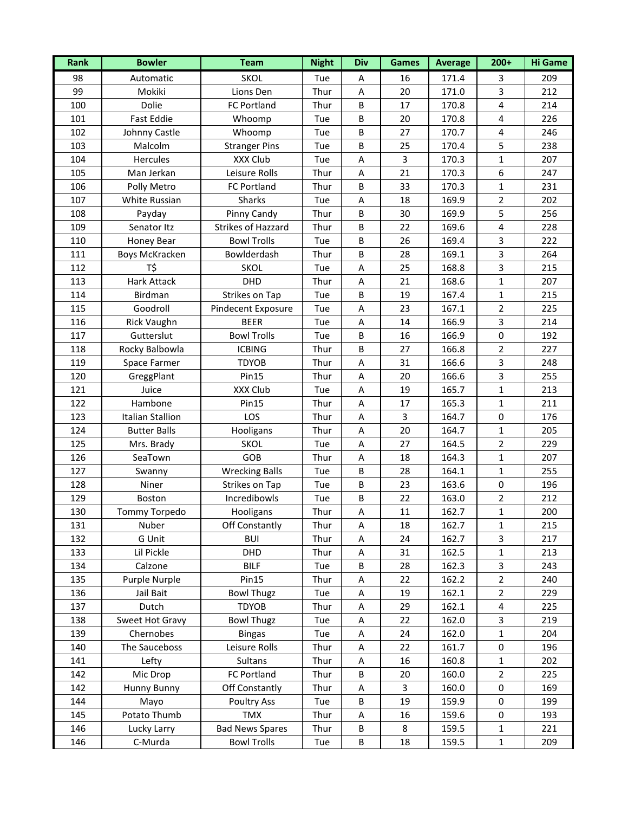| Rank | <b>Bowler</b>        | <b>Team</b>            | <b>Night</b> | <b>Div</b> | <b>Games</b>   | <b>Average</b> | $200+$                  | <b>Hi Game</b> |
|------|----------------------|------------------------|--------------|------------|----------------|----------------|-------------------------|----------------|
| 98   | Automatic            | <b>SKOL</b>            | Tue          | Α          | 16             | 171.4          | 3                       | 209            |
| 99   | Mokiki               | Lions Den              | Thur         | A          | 20             | 171.0          | 3                       | 212            |
| 100  | Dolie                | FC Portland            | Thur         | B          | 17             | 170.8          | 4                       | 214            |
| 101  | <b>Fast Eddie</b>    | Whoomp                 | Tue          | B          | 20             | 170.8          | $\pmb{4}$               | 226            |
| 102  | Johnny Castle        | Whoomp                 | Tue          | $\sf B$    | 27             | 170.7          | $\overline{\mathbf{4}}$ | 246            |
| 103  | Malcolm              | <b>Stranger Pins</b>   | Tue          | B          | 25             | 170.4          | 5                       | 238            |
| 104  | Hercules             | XXX Club               | Tue          | A          | $\overline{3}$ | 170.3          | $\mathbf{1}$            | 207            |
| 105  | Man Jerkan           | Leisure Rolls          | Thur         | Α          | 21             | 170.3          | 6                       | 247            |
| 106  | Polly Metro          | FC Portland            | Thur         | B          | 33             | 170.3          | 1                       | 231            |
| 107  | White Russian        | <b>Sharks</b>          | Tue          | A          | 18             | 169.9          | 2                       | 202            |
| 108  | Payday               | Pinny Candy            | Thur         | B          | 30             | 169.9          | 5                       | 256            |
| 109  | Senator Itz          | Strikes of Hazzard     | Thur         | $\sf B$    | 22             | 169.6          | $\pmb{4}$               | 228            |
| 110  | <b>Honey Bear</b>    | <b>Bowl Trolls</b>     | Tue          | $\sf B$    | 26             | 169.4          | 3                       | 222            |
| 111  | Boys McKracken       | Bowlderdash            | Thur         | $\sf B$    | 28             | 169.1          | 3                       | 264            |
| 112  | T\$                  | <b>SKOL</b>            | Tue          | A          | 25             | 168.8          | 3                       | 215            |
| 113  | Hark Attack          | DHD                    | Thur         | A          | 21             | 168.6          | $\mathbf{1}$            | 207            |
| 114  | Birdman              | <b>Strikes on Tap</b>  | Tue          | B          | 19             | 167.4          | $\mathbf{1}$            | 215            |
| 115  | Goodroll             | Pindecent Exposure     | Tue          | A          | 23             | 167.1          | $\mathbf 2$             | 225            |
| 116  | <b>Rick Vaughn</b>   | <b>BEER</b>            | Tue          | A          | 14             | 166.9          | 3                       | 214            |
| 117  | Gutterslut           | <b>Bowl Trolls</b>     | Tue          | $\sf B$    | 16             | 166.9          | $\mathbf 0$             | 192            |
| 118  | Rocky Balbowla       | <b>ICBING</b>          | Thur         | B          | 27             | 166.8          | 2                       | 227            |
| 119  | Space Farmer         | <b>TDYOB</b>           | Thur         | A          | 31             | 166.6          | 3                       | 248            |
| 120  | GreggPlant           | <b>Pin15</b>           | Thur         | Α          | 20             | 166.6          | 3                       | 255            |
| 121  | Juice                | XXX Club               | Tue          | A          | 19             | 165.7          | $\mathbf{1}$            | 213            |
| 122  | Hambone              | Pin15                  | Thur         | A          | 17             | 165.3          | $\mathbf{1}$            | 211            |
| 123  | Italian Stallion     | LOS                    | Thur         | A          | $\overline{3}$ | 164.7          | $\pmb{0}$               | 176            |
| 124  | <b>Butter Balls</b>  | Hooligans              | Thur         | A          | 20             | 164.7          | $\mathbf{1}$            | 205            |
| 125  | Mrs. Brady           | <b>SKOL</b>            | Tue          | Α          | 27             | 164.5          | $\overline{2}$          | 229            |
| 126  | SeaTown              | GOB                    | Thur         | A          | 18             | 164.3          | $\mathbf{1}$            | 207            |
| 127  | Swanny               | <b>Wrecking Balls</b>  | Tue          | $\sf B$    | 28             | 164.1          | $\mathbf{1}$            | 255            |
| 128  | Niner                | Strikes on Tap         | Tue          | $\sf B$    | 23             | 163.6          | $\pmb{0}$               | 196            |
| 129  | Boston               | Incredibowls           | Tue          | B          | 22             | 163.0          | $\overline{2}$          | 212            |
| 130  | <b>Tommy Torpedo</b> | Hooligans              | Thur         | А          | 11             | 162.7          | $\mathbf 1$             | 200            |
| 131  | Nuber                | Off Constantly         | Thur         | Α          | 18             | 162.7          | 1                       | 215            |
| 132  | G Unit               | <b>BUI</b>             | Thur         | Α          | 24             | 162.7          | 3                       | 217            |
| 133  | Lil Pickle           | DHD                    | Thur         | A          | 31             | 162.5          | $\mathbf{1}$            | 213            |
| 134  | Calzone              | <b>BILF</b>            | Tue          | $\sf B$    | 28             | 162.3          | $\overline{\mathbf{3}}$ | 243            |
| 135  | Purple Nurple        | Pin15                  | Thur         | Α          | 22             | 162.2          | $\overline{2}$          | 240            |
| 136  | Jail Bait            | <b>Bowl Thugz</b>      | Tue          | Α          | 19             | 162.1          | $\overline{2}$          | 229            |
| 137  | Dutch                | <b>TDYOB</b>           | Thur         | A          | 29             | 162.1          | $\pmb{4}$               | 225            |
| 138  | Sweet Hot Gravy      | <b>Bowl Thugz</b>      | Tue          | A          | 22             | 162.0          | 3                       | 219            |
| 139  | Chernobes            | <b>Bingas</b>          | Tue          | A          | 24             | 162.0          | $\mathbf 1$             | 204            |
| 140  | The Sauceboss        | Leisure Rolls          | Thur         | A          | 22             | 161.7          | $\pmb{0}$               | 196            |
| 141  | Lefty                | Sultans                | Thur         | Α          | 16             | 160.8          | 1                       | 202            |
| 142  | Mic Drop             | FC Portland            | Thur         | B          | 20             | 160.0          | 2                       | 225            |
| 142  | Hunny Bunny          | Off Constantly         | Thur         | Α          | 3              | 160.0          | 0                       | 169            |
| 144  | Mayo                 | Poultry Ass            | Tue          | $\sf B$    | 19             | 159.9          | $\pmb{0}$               | 199            |
| 145  | Potato Thumb         | <b>TMX</b>             | Thur         | A          | 16             | 159.6          | $\pmb{0}$               | 193            |
| 146  | Lucky Larry          | <b>Bad News Spares</b> | Thur         | B          | 8              | 159.5          | 1                       | 221            |
| 146  | C-Murda              | <b>Bowl Trolls</b>     | Tue          | $\sf B$    | 18             | 159.5          | $\mathbf{1}$            | 209            |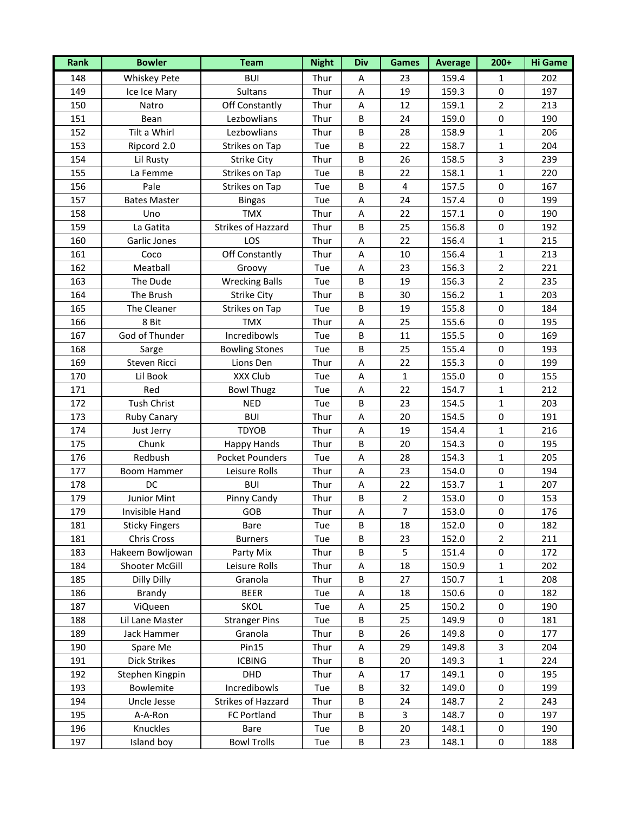| Rank | <b>Bowler</b>         | <b>Team</b>               | <b>Night</b> | <b>Div</b> | <b>Games</b>             | <b>Average</b> | $200+$         | <b>Hi Game</b> |
|------|-----------------------|---------------------------|--------------|------------|--------------------------|----------------|----------------|----------------|
| 148  | <b>Whiskey Pete</b>   | <b>BUI</b>                | Thur         | Α          | 23                       | 159.4          | 1              | 202            |
| 149  | Ice Ice Mary          | Sultans                   | Thur         | A          | 19                       | 159.3          | $\pmb{0}$      | 197            |
| 150  | Natro                 | Off Constantly            | Thur         | Α          | 12                       | 159.1          | 2              | 213            |
| 151  | Bean                  | Lezbowlians               | Thur         | B          | 24                       | 159.0          | $\mathbf 0$    | 190            |
| 152  | Tilt a Whirl          | Lezbowlians               | Thur         | $\sf B$    | 28                       | 158.9          | $\mathbf{1}$   | 206            |
| 153  | Ripcord 2.0           | Strikes on Tap            | Tue          | $\sf B$    | 22                       | 158.7          | $\mathbf{1}$   | 204            |
| 154  | Lil Rusty             | <b>Strike City</b>        | Thur         | $\sf B$    | 26                       | 158.5          | 3              | 239            |
| 155  | La Femme              | Strikes on Tap            | Tue          | $\sf B$    | 22                       | 158.1          | $\mathbf{1}$   | 220            |
| 156  | Pale                  | Strikes on Tap            | Tue          | B          | $\overline{\mathbf{4}}$  | 157.5          | $\mathbf 0$    | 167            |
| 157  | <b>Bates Master</b>   | <b>Bingas</b>             | Tue          | A          | 24                       | 157.4          | $\mathbf 0$    | 199            |
| 158  | Uno                   | <b>TMX</b>                | Thur         | A          | 22                       | 157.1          | $\mathbf 0$    | 190            |
| 159  | La Gatita             | <b>Strikes of Hazzard</b> | Thur         | $\sf B$    | 25                       | 156.8          | $\pmb{0}$      | 192            |
| 160  | Garlic Jones          | LOS                       | Thur         | A          | 22                       | 156.4          | 1              | 215            |
| 161  | Coco                  | Off Constantly            | Thur         | A          | 10                       | 156.4          | $\mathbf{1}$   | 213            |
| 162  | Meatball              | Groovy                    | Tue          | A          | 23                       | 156.3          | $\overline{2}$ | 221            |
| 163  | The Dude              | <b>Wrecking Balls</b>     | Tue          | B          | 19                       | 156.3          | $\overline{2}$ | 235            |
| 164  | The Brush             | <b>Strike City</b>        | Thur         | $\sf B$    | 30                       | 156.2          | $\mathbf{1}$   | 203            |
| 165  | The Cleaner           | Strikes on Tap            | Tue          | $\sf B$    | 19                       | 155.8          | $\pmb{0}$      | 184            |
| 166  | 8 Bit                 | <b>TMX</b>                | Thur         | A          | 25                       | 155.6          | $\pmb{0}$      | 195            |
| 167  | God of Thunder        | Incredibowls              | Tue          | $\sf B$    | 11                       | 155.5          | $\mathbf 0$    | 169            |
| 168  | Sarge                 | <b>Bowling Stones</b>     | Tue          | B          | 25                       | 155.4          | $\mathbf 0$    | 193            |
| 169  | Steven Ricci          | Lions Den                 | Thur         | A          | 22                       | 155.3          | $\pmb{0}$      | 199            |
| 170  | Lil Book              | XXX Club                  | Tue          | Α          | $\mathbf{1}$             | 155.0          | $\pmb{0}$      | 155            |
| 171  | Red                   | <b>Bowl Thugz</b>         | Tue          | A          | 22                       | 154.7          | $\mathbf{1}$   | 212            |
| 172  | <b>Tush Christ</b>    | <b>NED</b>                | Tue          | B          | 23                       | 154.5          | $\mathbf{1}$   | 203            |
| 173  | Ruby Canary           | <b>BUI</b>                | Thur         | A          | 20                       | 154.5          | $\pmb{0}$      | 191            |
| 174  | Just Jerry            | <b>TDYOB</b>              | Thur         | A          | 19                       | 154.4          | $\mathbf{1}$   | 216            |
| 175  | Chunk                 | Happy Hands               | Thur         | B          | 20                       | 154.3          | $\pmb{0}$      | 195            |
| 176  | Redbush               | <b>Pocket Pounders</b>    | Tue          | A          | 28                       | 154.3          | $\mathbf{1}$   | 205            |
| 177  | <b>Boom Hammer</b>    | Leisure Rolls             | Thur         | A          | 23                       | 154.0          | $\mathbf 0$    | 194            |
| 178  | DC                    | <b>BUI</b>                | Thur         | A          | 22                       | 153.7          | $\mathbf{1}$   | 207            |
| 179  | Junior Mint           | Pinny Candy               | Thur         | B          | $\mathbf 2$              | 153.0          | $\pmb{0}$      | 153            |
| 179  | Invisible Hand        | GOB                       | Thur         | A          | $\overline{\mathcal{I}}$ | 153.0          | $\mathbf 0$    | 176            |
| 181  | <b>Sticky Fingers</b> | Bare                      | Tue          | B          | 18                       | 152.0          | 0              | 182            |
| 181  | Chris Cross           | <b>Burners</b>            | Tue          | B          | 23                       | 152.0          | 2              | 211            |
| 183  | Hakeem Bowljowan      | Party Mix                 | Thur         | B          | 5                        | 151.4          | $\pmb{0}$      | 172            |
| 184  | Shooter McGill        | Leisure Rolls             | Thur         | A          | 18                       | 150.9          | 1              | 202            |
| 185  | Dilly Dilly           | Granola                   | Thur         | B          | 27                       | 150.7          | $\mathbf{1}$   | 208            |
| 186  | Brandy                | <b>BEER</b>               | Tue          | Α          | 18                       | 150.6          | $\pmb{0}$      | 182            |
| 187  | ViQueen               | <b>SKOL</b>               | Tue          | A          | 25                       | 150.2          | $\pmb{0}$      | 190            |
| 188  | Lil Lane Master       | <b>Stranger Pins</b>      | Tue          | B          | 25                       | 149.9          | $\pmb{0}$      | 181            |
| 189  | Jack Hammer           | Granola                   | Thur         | $\sf B$    | 26                       | 149.8          | $\pmb{0}$      | 177            |
| 190  | Spare Me              | Pin15                     | Thur         | A          | 29                       | 149.8          | 3              | 204            |
| 191  | <b>Dick Strikes</b>   | <b>ICBING</b>             | Thur         | B          | 20                       | 149.3          | $\mathbf 1$    | 224            |
| 192  | Stephen Kingpin       | DHD                       | Thur         | A          | 17                       | 149.1          | $\mathbf 0$    | 195            |
| 193  | Bowlemite             | Incredibowls              | Tue          | B          | 32                       | 149.0          | 0              | 199            |
| 194  | Uncle Jesse           | Strikes of Hazzard        | Thur         | $\sf B$    | 24                       | 148.7          | $\overline{2}$ | 243            |
| 195  | A-A-Ron               | FC Portland               | Thur         | B          | 3                        | 148.7          | $\pmb{0}$      | 197            |
| 196  | Knuckles              | Bare                      | Tue          | B          | 20                       | 148.1          | 0              | 190            |
| 197  | Island boy            | <b>Bowl Trolls</b>        | Tue          | $\sf B$    | 23                       | 148.1          | $\pmb{0}$      | 188            |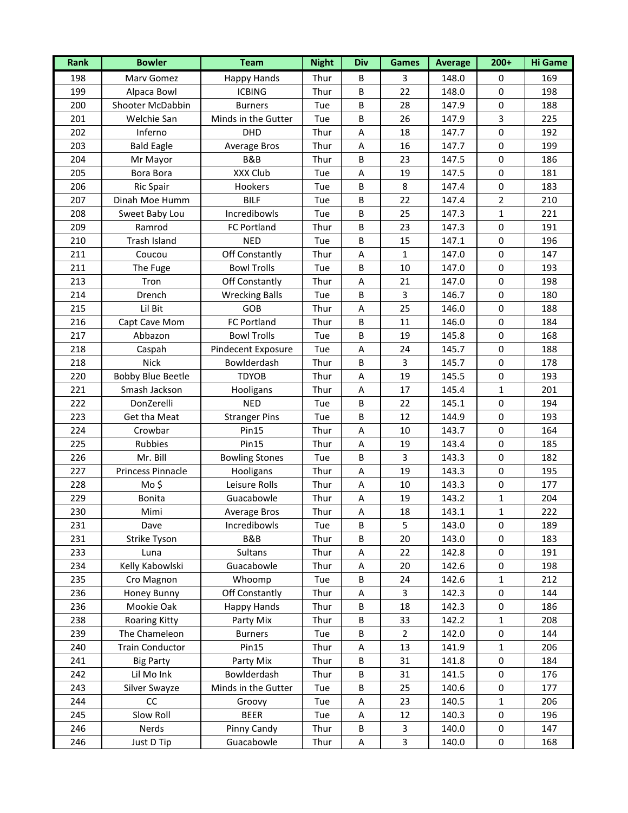| Rank | <b>Bowler</b>            | <b>Team</b>           | <b>Night</b> | <b>Div</b> | <b>Games</b>   | <b>Average</b> | $200+$         | <b>Hi Game</b> |
|------|--------------------------|-----------------------|--------------|------------|----------------|----------------|----------------|----------------|
| 198  | Marv Gomez               | <b>Happy Hands</b>    | Thur         | B          | 3              | 148.0          | 0              | 169            |
| 199  | Alpaca Bowl              | <b>ICBING</b>         | Thur         | $\sf B$    | 22             | 148.0          | $\pmb{0}$      | 198            |
| 200  | Shooter McDabbin         | <b>Burners</b>        | Tue          | B          | 28             | 147.9          | $\pmb{0}$      | 188            |
| 201  | Welchie San              | Minds in the Gutter   | Tue          | $\sf B$    | 26             | 147.9          | 3              | 225            |
| 202  | Inferno                  | DHD                   | Thur         | A          | 18             | 147.7          | $\pmb{0}$      | 192            |
| 203  | <b>Bald Eagle</b>        | Average Bros          | Thur         | A          | 16             | 147.7          | $\pmb{0}$      | 199            |
| 204  | Mr Mayor                 | B&B                   | Thur         | B          | 23             | 147.5          | $\pmb{0}$      | 186            |
| 205  | Bora Bora                | XXX Club              | Tue          | A          | 19             | 147.5          | $\pmb{0}$      | 181            |
| 206  | <b>Ric Spair</b>         | Hookers               | Tue          | B          | 8              | 147.4          | $\mathbf 0$    | 183            |
| 207  | Dinah Moe Humm           | <b>BILF</b>           | Tue          | $\sf B$    | 22             | 147.4          | $\overline{2}$ | 210            |
| 208  | Sweet Baby Lou           | Incredibowls          | Tue          | B          | 25             | 147.3          | 1              | 221            |
| 209  | Ramrod                   | FC Portland           | Thur         | $\sf B$    | 23             | 147.3          | $\pmb{0}$      | 191            |
| 210  | Trash Island             | <b>NED</b>            | Tue          | $\sf B$    | 15             | 147.1          | $\pmb{0}$      | 196            |
| 211  | Coucou                   | Off Constantly        | Thur         | A          | $\mathbf 1$    | 147.0          | $\pmb{0}$      | 147            |
| 211  | The Fuge                 | <b>Bowl Trolls</b>    | Tue          | B          | 10             | 147.0          | $\pmb{0}$      | 193            |
| 213  | Tron                     | Off Constantly        | Thur         | A          | 21             | 147.0          | $\pmb{0}$      | 198            |
| 214  | Drench                   | <b>Wrecking Balls</b> | Tue          | B          | $\overline{3}$ | 146.7          | $\pmb{0}$      | 180            |
| 215  | Lil Bit                  | GOB                   | Thur         | A          | 25             | 146.0          | $\pmb{0}$      | 188            |
| 216  | Capt Cave Mom            | FC Portland           | Thur         | $\sf B$    | 11             | 146.0          | $\pmb{0}$      | 184            |
| 217  | Abbazon                  | <b>Bowl Trolls</b>    | Tue          | $\sf B$    | 19             | 145.8          | $\pmb{0}$      | 168            |
| 218  | Caspah                   | Pindecent Exposure    | Tue          | A          | 24             | 145.7          | $\mathbf 0$    | 188            |
| 218  | <b>Nick</b>              | Bowlderdash           | Thur         | $\sf B$    | $\mathbf{3}$   | 145.7          | $\pmb{0}$      | 178            |
| 220  | <b>Bobby Blue Beetle</b> | <b>TDYOB</b>          | Thur         | A          | 19             | 145.5          | $\pmb{0}$      | 193            |
| 221  | Smash Jackson            | Hooligans             | Thur         | A          | 17             | 145.4          | $\mathbf{1}$   | 201            |
| 222  | DonZerelli               | <b>NED</b>            | Tue          | $\sf B$    | 22             | 145.1          | $\pmb{0}$      | 194            |
| 223  | Get tha Meat             | <b>Stranger Pins</b>  | Tue          | B          | 12             | 144.9          | $\pmb{0}$      | 193            |
| 224  | Crowbar                  | <b>Pin15</b>          | Thur         | A          | 10             | 143.7          | $\pmb{0}$      | 164            |
| 225  | Rubbies                  | Pin15                 | Thur         | Α          | 19             | 143.4          | $\mathbf 0$    | 185            |
| 226  | Mr. Bill                 | <b>Bowling Stones</b> | Tue          | $\sf B$    | $\overline{3}$ | 143.3          | $\pmb{0}$      | 182            |
| 227  | Princess Pinnacle        | Hooligans             | Thur         | A          | 19             | 143.3          | $\pmb{0}$      | 195            |
| 228  | Mo\$                     | Leisure Rolls         | Thur         | A          | 10             | 143.3          | $\pmb{0}$      | 177            |
| 229  | Bonita                   | Guacabowle            | Thur         | A          | 19             | 143.2          | $\mathbf{1}$   | 204            |
| 230  | Mimi                     | <b>Average Bros</b>   | Thur         | Α          | 18             | 143.1          | $\mathbf 1$    | 222            |
| 231  | Dave                     | Incredibowls          | Tue          | B          | 5              | 143.0          | 0              | 189            |
| 231  | Strike Tyson             | B&B                   | Thur         | B          | 20             | 143.0          | 0              | 183            |
| 233  | Luna                     | Sultans               | Thur         | A          | 22             | 142.8          | 0              | 191            |
| 234  | Kelly Kabowlski          | Guacabowle            | Thur         | A          | 20             | 142.6          | $\pmb{0}$      | 198            |
| 235  | Cro Magnon               | Whoomp                | Tue          | B          | 24             | 142.6          | 1              | 212            |
| 236  | Honey Bunny              | Off Constantly        | Thur         | Α          | 3              | 142.3          | 0              | 144            |
| 236  | Mookie Oak               | <b>Happy Hands</b>    | Thur         | B          | 18             | 142.3          | 0              | 186            |
| 238  | <b>Roaring Kitty</b>     | Party Mix             | Thur         | B          | 33             | 142.2          | 1              | 208            |
| 239  | The Chameleon            | <b>Burners</b>        | Tue          | $\sf B$    | $\overline{2}$ | 142.0          | $\pmb{0}$      | 144            |
| 240  | <b>Train Conductor</b>   | Pin15                 | Thur         | A          | 13             | 141.9          | 1              | 206            |
| 241  | <b>Big Party</b>         | Party Mix             | Thur         | B          | 31             | 141.8          | 0              | 184            |
| 242  | Lil Mo Ink               | Bowlderdash           | Thur         | B          | 31             | 141.5          | $\mathbf 0$    | 176            |
| 243  | Silver Swayze            | Minds in the Gutter   | Tue          | B          | 25             | 140.6          | 0              | 177            |
| 244  | CC                       | Groovy                | Tue          | A          | 23             | 140.5          | 1              | 206            |
| 245  | Slow Roll                | <b>BEER</b>           | Tue          | A          | 12             | 140.3          | $\pmb{0}$      | 196            |
| 246  | Nerds                    | Pinny Candy           | Thur         | B          | 3              | 140.0          | 0              | 147            |
| 246  | Just D Tip               | Guacabowle            | Thur         | A          | 3              | 140.0          | $\pmb{0}$      | 168            |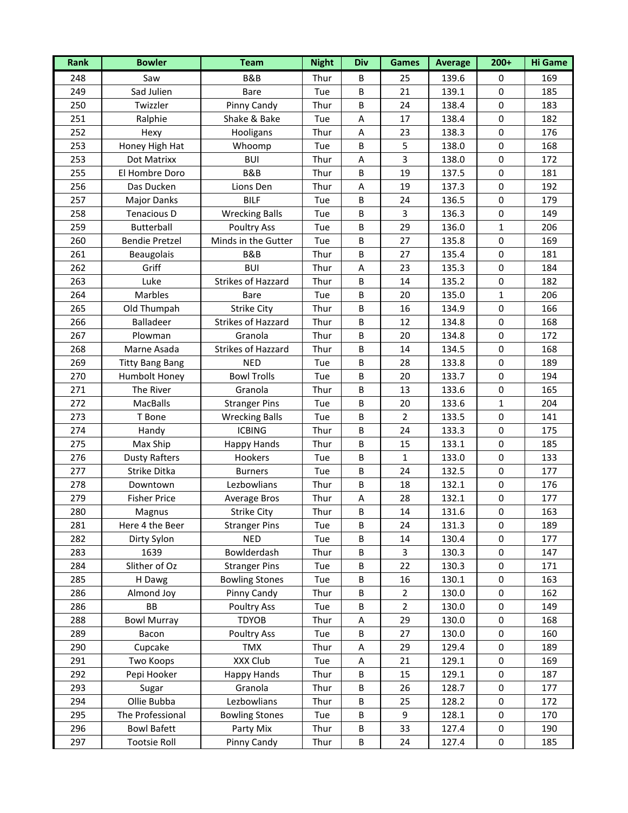| Rank | <b>Bowler</b>          | <b>Team</b>               | <b>Night</b> | <b>Div</b> | <b>Games</b>            | <b>Average</b> | $200+$       | <b>Hi Game</b> |
|------|------------------------|---------------------------|--------------|------------|-------------------------|----------------|--------------|----------------|
| 248  | Saw                    | <b>B&amp;B</b>            | Thur         | B          | 25                      | 139.6          | 0            | 169            |
| 249  | Sad Julien             | <b>Bare</b>               | Tue          | B          | 21                      | 139.1          | $\pmb{0}$    | 185            |
| 250  | Twizzler               | Pinny Candy               | Thur         | B          | 24                      | 138.4          | $\mathbf 0$  | 183            |
| 251  | Ralphie                | Shake & Bake              | Tue          | A          | 17                      | 138.4          | $\mathbf 0$  | 182            |
| 252  | Hexy                   | Hooligans                 | Thur         | A          | 23                      | 138.3          | $\pmb{0}$    | 176            |
| 253  | Honey High Hat         | Whoomp                    | Tue          | B          | 5                       | 138.0          | $\pmb{0}$    | 168            |
| 253  | Dot Matrixx            | <b>BUI</b>                | Thur         | A          | $\overline{\mathbf{3}}$ | 138.0          | $\pmb{0}$    | 172            |
| 255  | El Hombre Doro         | B&B                       | Thur         | B          | 19                      | 137.5          | $\mathbf 0$  | 181            |
| 256  | Das Ducken             | Lions Den                 | Thur         | A          | 19                      | 137.3          | $\mathbf 0$  | 192            |
| 257  | <b>Major Danks</b>     | <b>BILF</b>               | Tue          | B          | 24                      | 136.5          | $\mathbf 0$  | 179            |
| 258  | Tenacious D            | <b>Wrecking Balls</b>     | Tue          | B          | 3                       | 136.3          | $\mathbf 0$  | 149            |
| 259  | Butterball             | Poultry Ass               | Tue          | $\sf B$    | 29                      | 136.0          | $\mathbf{1}$ | 206            |
| 260  | <b>Bendie Pretzel</b>  | Minds in the Gutter       | Tue          | $\sf B$    | 27                      | 135.8          | $\pmb{0}$    | 169            |
| 261  | Beaugolais             | B&B                       | Thur         | $\sf B$    | 27                      | 135.4          | $\pmb{0}$    | 181            |
| 262  | Griff                  | <b>BUI</b>                | Thur         | A          | 23                      | 135.3          | $\pmb{0}$    | 184            |
| 263  | Luke                   | <b>Strikes of Hazzard</b> | Thur         | B          | 14                      | 135.2          | $\pmb{0}$    | 182            |
| 264  | Marbles                | Bare                      | Tue          | $\sf B$    | 20                      | 135.0          | $\mathbf{1}$ | 206            |
| 265  | Old Thumpah            | <b>Strike City</b>        | Thur         | $\sf B$    | 16                      | 134.9          | $\pmb{0}$    | 166            |
| 266  | <b>Balladeer</b>       | Strikes of Hazzard        | Thur         | $\sf B$    | 12                      | 134.8          | $\pmb{0}$    | 168            |
| 267  | Plowman                | Granola                   | Thur         | $\sf B$    | 20                      | 134.8          | $\mathbf 0$  | 172            |
| 268  | Marne Asada            | <b>Strikes of Hazzard</b> | Thur         | B          | 14                      | 134.5          | $\mathbf 0$  | 168            |
| 269  | <b>Titty Bang Bang</b> | <b>NED</b>                | Tue          | $\sf B$    | 28                      | 133.8          | $\pmb{0}$    | 189            |
| 270  | Humbolt Honey          | <b>Bowl Trolls</b>        | Tue          | $\sf B$    | 20                      | 133.7          | $\mathbf 0$  | 194            |
| 271  | The River              | Granola                   | Thur         | $\sf B$    | 13                      | 133.6          | $\pmb{0}$    | 165            |
| 272  | MacBalls               | <b>Stranger Pins</b>      | Tue          | $\sf B$    | 20                      | 133.6          | $\mathbf{1}$ | 204            |
| 273  | T Bone                 | <b>Wrecking Balls</b>     | Tue          | $\sf B$    | $\overline{2}$          | 133.5          | $\pmb{0}$    | 141            |
| 274  | Handy                  | <b>ICBING</b>             | Thur         | $\sf B$    | 24                      | 133.3          | $\pmb{0}$    | 175            |
| 275  | Max Ship               | <b>Happy Hands</b>        | Thur         | B          | 15                      | 133.1          | $\mathbf 0$  | 185            |
| 276  | <b>Dusty Rafters</b>   | Hookers                   | Tue          | $\sf B$    | $\mathbf{1}$            | 133.0          | $\pmb{0}$    | 133            |
| 277  | Strike Ditka           | <b>Burners</b>            | Tue          | $\sf B$    | 24                      | 132.5          | $\pmb{0}$    | 177            |
| 278  | Downtown               | Lezbowlians               | Thur         | B          | 18                      | 132.1          | $\pmb{0}$    | 176            |
| 279  | <b>Fisher Price</b>    | Average Bros              | Thur         | A          | 28                      | 132.1          | $\pmb{0}$    | 177            |
| 280  | Magnus                 | <b>Strike City</b>        | Thur         | B          | 14                      | 131.6          | $\mathbf 0$  | 163            |
| 281  | Here 4 the Beer        | <b>Stranger Pins</b>      | Tue          | B          | 24                      | 131.3          | 0            | 189            |
| 282  | Dirty Sylon            | <b>NED</b>                | Tue          | B          | 14                      | 130.4          | 0            | 177            |
| 283  | 1639                   | Bowlderdash               | Thur         | B          | 3                       | 130.3          | 0            | 147            |
| 284  | Slither of Oz          | <b>Stranger Pins</b>      | Tue          | $\sf B$    | 22                      | 130.3          | $\pmb{0}$    | 171            |
| 285  | H Dawg                 | <b>Bowling Stones</b>     | Tue          | B          | 16                      | 130.1          | $\pmb{0}$    | 163            |
| 286  | Almond Joy             | Pinny Candy               | Thur         | B          | $\overline{2}$          | 130.0          | $\pmb{0}$    | 162            |
| 286  | <b>BB</b>              | Poultry Ass               | Tue          | B          | $\overline{2}$          | 130.0          | 0            | 149            |
| 288  | <b>Bowl Murray</b>     | <b>TDYOB</b>              | Thur         | A          | 29                      | 130.0          | 0            | 168            |
| 289  | Bacon                  | Poultry Ass               | Tue          | B          | 27                      | 130.0          | $\pmb{0}$    | 160            |
| 290  | Cupcake                | <b>TMX</b>                | Thur         | A          | 29                      | 129.4          | $\pmb{0}$    | 189            |
| 291  | Two Koops              | XXX Club                  | Tue          | A          | 21                      | 129.1          | $\pmb{0}$    | 169            |
| 292  | Pepi Hooker            | Happy Hands               | Thur         | B          | 15                      | 129.1          | $\mathbf 0$  | 187            |
| 293  | Sugar                  | Granola                   | Thur         | B          | 26                      | 128.7          | 0            | 177            |
| 294  | Ollie Bubba            | Lezbowlians               | Thur         | B          | 25                      | 128.2          | $\pmb{0}$    | 172            |
| 295  | The Professional       | <b>Bowling Stones</b>     | Tue          | B          | 9                       | 128.1          | 0            | 170            |
| 296  | <b>Bowl Bafett</b>     | Party Mix                 | Thur         | B          | 33                      | 127.4          | 0            | 190            |
| 297  | <b>Tootsie Roll</b>    | Pinny Candy               | Thur         | $\sf B$    | 24                      | 127.4          | 0            | 185            |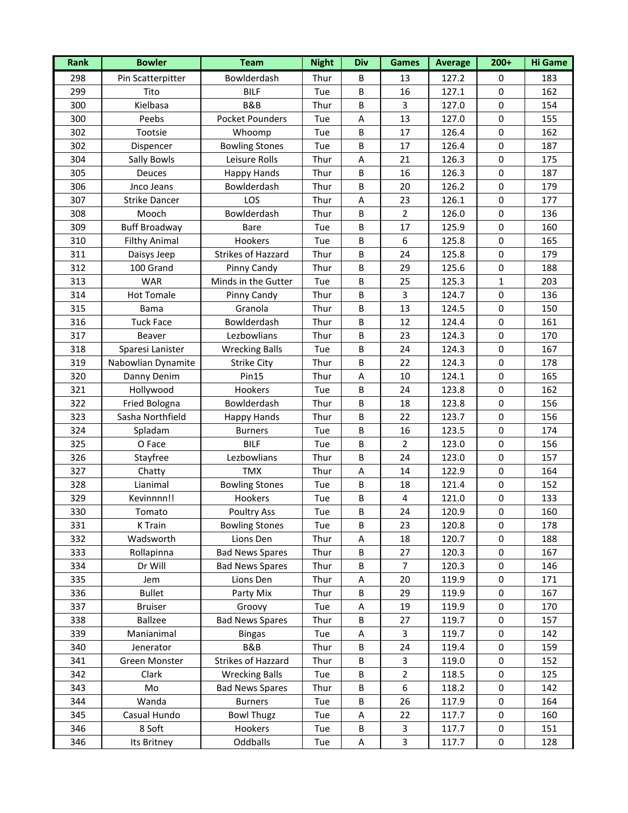| Rank | <b>Bowler</b>        | <b>Team</b>            | <b>Night</b> | <b>Div</b> | <b>Games</b>     | <b>Average</b> | $200+$       | <b>Hi Game</b> |
|------|----------------------|------------------------|--------------|------------|------------------|----------------|--------------|----------------|
| 298  | Pin Scatterpitter    | Bowlderdash            | Thur         | B          | 13               | 127.2          | 0            | 183            |
| 299  | Tito                 | <b>BILF</b>            | Tue          | B          | 16               | 127.1          | $\pmb{0}$    | 162            |
| 300  | Kielbasa             | B&B                    | Thur         | B          | 3                | 127.0          | $\mathbf 0$  | 154            |
| 300  | Peebs                | <b>Pocket Pounders</b> | Tue          | A          | 13               | 127.0          | $\mathbf 0$  | 155            |
| 302  | Tootsie              | Whoomp                 | Tue          | $\sf B$    | 17               | 126.4          | $\pmb{0}$    | 162            |
| 302  | Dispencer            | <b>Bowling Stones</b>  | Tue          | B          | 17               | 126.4          | $\pmb{0}$    | 187            |
| 304  | Sally Bowls          | Leisure Rolls          | Thur         | A          | 21               | 126.3          | $\pmb{0}$    | 175            |
| 305  | <b>Deuces</b>        | <b>Happy Hands</b>     | Thur         | B          | 16               | 126.3          | $\mathbf 0$  | 187            |
| 306  | Jnco Jeans           | Bowlderdash            | Thur         | B          | 20               | 126.2          | $\mathbf 0$  | 179            |
| 307  | <b>Strike Dancer</b> | LOS                    | Thur         | A          | 23               | 126.1          | $\mathbf 0$  | 177            |
| 308  | Mooch                | Bowlderdash            | Thur         | B          | $\overline{2}$   | 126.0          | $\mathbf 0$  | 136            |
| 309  | <b>Buff Broadway</b> | Bare                   | Tue          | $\sf B$    | 17               | 125.9          | $\pmb{0}$    | 160            |
| 310  | <b>Filthy Animal</b> | Hookers                | Tue          | $\sf B$    | $\boldsymbol{6}$ | 125.8          | $\pmb{0}$    | 165            |
| 311  | Daisys Jeep          | Strikes of Hazzard     | Thur         | $\sf B$    | 24               | 125.8          | $\pmb{0}$    | 179            |
| 312  | 100 Grand            | Pinny Candy            | Thur         | $\sf B$    | 29               | 125.6          | $\pmb{0}$    | 188            |
| 313  | <b>WAR</b>           | Minds in the Gutter    | Tue          | B          | 25               | 125.3          | $\mathbf{1}$ | 203            |
| 314  | <b>Hot Tomale</b>    | Pinny Candy            | Thur         | $\sf B$    | $\overline{3}$   | 124.7          | $\pmb{0}$    | 136            |
| 315  | <b>Bama</b>          | Granola                | Thur         | $\sf B$    | 13               | 124.5          | $\mathbf 0$  | 150            |
| 316  | <b>Tuck Face</b>     | Bowlderdash            | Thur         | $\sf B$    | 12               | 124.4          | $\pmb{0}$    | 161            |
| 317  | Beaver               | Lezbowlians            | Thur         | B          | 23               | 124.3          | $\mathbf 0$  | 170            |
| 318  | Sparesi Lanister     | <b>Wrecking Balls</b>  | Tue          | B          | 24               | 124.3          | $\mathbf 0$  | 167            |
| 319  | Nabowlian Dynamite   | Strike City            | Thur         | $\sf B$    | 22               | 124.3          | $\pmb{0}$    | 178            |
| 320  | Danny Denim          | <b>Pin15</b>           | Thur         | Α          | 10               | 124.1          | $\mathbf 0$  | 165            |
| 321  | Hollywood            | Hookers                | Tue          | $\sf B$    | 24               | 123.8          | $\pmb{0}$    | 162            |
| 322  | Fried Bologna        | Bowlderdash            | Thur         | $\sf B$    | 18               | 123.8          | $\pmb{0}$    | 156            |
| 323  | Sasha Northfield     | <b>Happy Hands</b>     | Thur         | B          | 22               | 123.7          | $\pmb{0}$    | 156            |
| 324  | Spladam              | <b>Burners</b>         | Tue          | $\sf B$    | 16               | 123.5          | $\pmb{0}$    | 174            |
| 325  | O Face               | <b>BILF</b>            | Tue          | B          | $\overline{2}$   | 123.0          | $\mathbf 0$  | 156            |
| 326  | Stayfree             | Lezbowlians            | Thur         | $\sf B$    | 24               | 123.0          | $\pmb{0}$    | 157            |
| 327  | Chatty               | <b>TMX</b>             | Thur         | A          | 14               | 122.9          | $\pmb{0}$    | 164            |
| 328  | Lianimal             | <b>Bowling Stones</b>  | Tue          | B          | 18               | 121.4          | $\pmb{0}$    | 152            |
| 329  | Kevinnnn!!           | Hookers                | Tue          | B          | 4                | 121.0          | $\pmb{0}$    | 133            |
| 330  | Tomato               | Poultry Ass            | Tue          | B          | 24               | 120.9          | $\mathbf 0$  | 160            |
| 331  | K Train              | <b>Bowling Stones</b>  | Tue          | B          | 23               | 120.8          | 0            | 178            |
| 332  | Wadsworth            | Lions Den              | Thur         | Α          | 18               | 120.7          | 0            | 188            |
| 333  | Rollapinna           | <b>Bad News Spares</b> | Thur         | B          | 27               | 120.3          | 0            | 167            |
| 334  | Dr Will              | <b>Bad News Spares</b> | Thur         | B          | $\overline{7}$   | 120.3          | $\pmb{0}$    | 146            |
| 335  | Jem                  | Lions Den              | Thur         | Α          | 20               | 119.9          | 0            | 171            |
| 336  | <b>Bullet</b>        | Party Mix              | Thur         | B          | 29               | 119.9          | 0            | 167            |
| 337  | <b>Bruiser</b>       | Groovy                 | Tue          | A          | 19               | 119.9          | 0            | 170            |
| 338  | Ballzee              | <b>Bad News Spares</b> | Thur         | B          | 27               | 119.7          | 0            | 157            |
| 339  | Manianimal           | <b>Bingas</b>          | Tue          | A          | 3                | 119.7          | $\pmb{0}$    | 142            |
| 340  | Jenerator            | B&B                    | Thur         | B          | 24               | 119.4          | 0            | 159            |
| 341  | Green Monster        | Strikes of Hazzard     | Thur         | B          | 3                | 119.0          | $\pmb{0}$    | 152            |
| 342  | Clark                | <b>Wrecking Balls</b>  | Tue          | B          | $\overline{2}$   | 118.5          | 0            | 125            |
| 343  | Mo                   | <b>Bad News Spares</b> | Thur         | B          | 6                | 118.2          | 0            | 142            |
| 344  | Wanda                | <b>Burners</b>         | Tue          | $\sf B$    | 26               | 117.9          | $\pmb{0}$    | 164            |
| 345  | Casual Hundo         | <b>Bowl Thugz</b>      | Tue          | A          | 22               | 117.7          | 0            | 160            |
| 346  | 8 Soft               | Hookers                | Tue          | B          | 3                | 117.7          | 0            | 151            |
| 346  | Its Britney          | Oddballs               | Tue          | A          | 3                | 117.7          | 0            | 128            |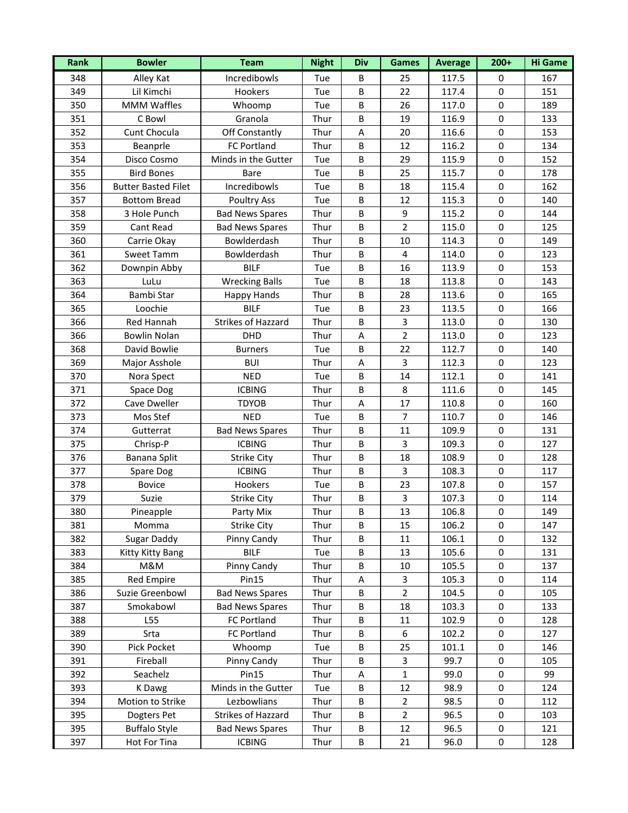| Incredibowls<br>Alley Kat<br>348<br>25<br>117.5<br>167<br>Tue<br>B<br>0<br>349<br>Lil Kimchi<br>$\sf B$<br>$\pmb{0}$<br>Hookers<br>22<br>151<br>Tue<br>117.4<br>350<br>189<br><b>MMM Waffles</b><br>Tue<br>B<br>26<br>117.0<br>$\mathbf 0$<br>Whoomp<br>351<br>Thur<br>$\sf B$<br>19<br>116.9<br>133<br>C Bowl<br>Granola<br>$\mathbf 0$<br>153<br>352<br>Cunt Chocula<br>Off Constantly<br>Thur<br>116.6<br>$\pmb{0}$<br>A<br>20<br>353<br>$\sf B$<br>12<br>116.2<br>$\pmb{0}$<br>134<br>Beanprle<br>FC Portland<br>Thur<br>354<br>$\sf B$<br>$\pmb{0}$<br>152<br>Disco Cosmo<br>Minds in the Gutter<br>29<br>Tue<br>115.9<br>355<br>25<br>178<br><b>Bird Bones</b><br>Tue<br>B<br>115.7<br>$\mathbf 0$<br>Bare<br>356<br>Incredibowls<br>115.4<br>162<br><b>Butter Basted Filet</b><br>Tue<br>B<br>18<br>$\mathbf 0$<br>357<br>$\sf B$<br>115.3<br>140<br><b>Bottom Bread</b><br><b>Poultry Ass</b><br>Tue<br>12<br>$\mathbf 0$<br>358<br>144<br>3 Hole Punch<br><b>Bad News Spares</b><br>Thur<br>B<br>9<br>115.2<br>$\mathbf 0$<br>$\overline{2}$<br>125<br>359<br>$\sf B$<br>115.0<br>$\pmb{0}$<br>Cant Read<br><b>Bad News Spares</b><br>Thur<br>360<br>$\sf B$<br>149<br>Carrie Okay<br>Bowlderdash<br>Thur<br>10<br>114.3<br>$\pmb{0}$<br>361<br>Bowlderdash<br>Thur<br>$\sf B$<br>$\overline{4}$<br>114.0<br>$\pmb{0}$<br>123<br>Sweet Tamm<br><b>BILF</b><br>153<br>362<br>$\sf B$<br>16<br>113.9<br>$\pmb{0}$<br>Downpin Abby<br>Tue<br><b>Wrecking Balls</b><br>B<br>18<br>$\pmb{0}$<br>143<br>363<br>LuLu<br>Tue<br>113.8<br>364<br>Bambi Star<br>$\sf B$<br>113.6<br>$\pmb{0}$<br>165<br>Happy Hands<br>Thur<br>28<br>365<br><b>BILF</b><br>$\sf B$<br>166<br>Loochie<br>Tue<br>23<br>113.5<br>$\mathbf 0$<br><b>Strikes of Hazzard</b><br>130<br>366<br>Red Hannah<br>Thur<br>$\sf B$<br>$\mathbf{3}$<br>113.0<br>$\pmb{0}$<br>DHD<br>$\overline{2}$<br>123<br>366<br><b>Bowlin Nolan</b><br>Thur<br>113.0<br>$\mathbf 0$<br>A<br>368<br>David Bowlie<br><b>Burners</b><br>Tue<br>B<br>22<br>112.7<br>$\mathbf 0$<br>140<br>369<br><b>BUI</b><br>$\mathbf{3}$<br>112.3<br>$\pmb{0}$<br>123<br>Major Asshole<br>Thur<br>A<br>370<br>112.1<br>141<br>Nora Spect<br><b>NED</b><br>Tue<br>B<br>14<br>$\pmb{0}$<br>371<br><b>ICBING</b><br>Thur<br>$\sf B$<br>8<br>111.6<br>$\pmb{0}$<br>145<br>Space Dog<br>17<br>160<br>372<br>Cave Dweller<br><b>TDYOB</b><br>Thur<br>A<br>110.8<br>$\mathbf 0$<br>373<br>$\sf B$<br>$\overline{7}$<br>$\pmb{0}$<br>146<br>Mos Stef<br><b>NED</b><br>Tue<br>110.7<br>$\sf B$<br>374<br>11<br>$\pmb{0}$<br>131<br>Gutterrat<br><b>Bad News Spares</b><br>Thur<br>109.9<br>375<br>127<br><b>ICBING</b><br>Thur<br>B<br>3<br>109.3<br>$\mathbf 0$<br>Chrisp-P<br>376<br>Thur<br>$\sf B$<br>18<br>108.9<br>$\pmb{0}$<br>128<br>Banana Split<br><b>Strike City</b><br><b>ICBING</b><br>$\overline{3}$<br>377<br>Thur<br>$\sf B$<br>108.3<br>$\pmb{0}$<br>117<br>Spare Dog<br>378<br>$\sf B$<br>23<br>$\pmb{0}$<br>157<br><b>Bovice</b><br>Hookers<br>Tue<br>107.8<br>379<br>B<br>3<br>$\pmb{0}$<br>Suzie<br><b>Strike City</b><br>Thur<br>107.3<br>114<br>$\mathbf 0$<br>B<br>13<br>380<br>106.8<br>149<br>Pineapple<br>Thur<br>Party Mix<br>381<br><b>Strike City</b><br>Thur<br>B<br>15<br>106.2<br>Momma<br>0<br>147<br>Sugar Daddy<br>Pinny Candy<br>106.1<br>132<br>382<br>Thur<br>B<br>0<br>11<br>383<br><b>BILF</b><br>131<br>Kitty Kitty Bang<br>Tue<br>B<br>13<br>105.6<br>0<br>384<br>M&M<br>Pinny Candy<br>$\sf B$<br>$\pmb{0}$<br>Thur<br>10<br>105.5<br>137<br>385<br><b>Red Empire</b><br>Pin15<br>Thur<br>3<br>$\pmb{0}$<br>114<br>Α<br>105.3<br>$\overline{2}$<br>386<br>Suzie Greenbowl<br>Thur<br>B<br>104.5<br>0<br>105<br><b>Bad News Spares</b><br>133<br>387<br>Smokabowl<br>Thur<br>B<br>18<br>103.3<br>0<br><b>Bad News Spares</b><br>388<br>L55<br>FC Portland<br>Thur<br>B<br>11<br>102.9<br>0<br>128<br>389<br>Srta<br>$\sf B$<br>6<br>$\pmb{0}$<br>FC Portland<br>Thur<br>102.2<br>127<br>390<br>Pick Pocket<br>Whoomp<br>Tue<br>B<br>25<br>$\pmb{0}$<br>146<br>101.1<br>391<br>$\mathbf{3}$<br>99.7<br>105<br>Fireball<br>Pinny Candy<br>Thur<br>B<br>$\pmb{0}$<br>392<br>Pin15<br>99<br>Seachelz<br>Thur<br>$\mathbf{1}$<br>99.0<br>0<br>Α<br>393<br>Minds in the Gutter<br>B<br>12<br>98.9<br>0<br>124<br>K Dawg<br>Tue<br>394<br>Lezbowlians<br>$\pmb{0}$<br>112<br>Motion to Strike<br>Thur<br>B<br>$\overline{2}$<br>98.5<br>395<br>Strikes of Hazzard<br>Thur<br>B<br>$\overline{2}$<br>96.5<br>$\pmb{0}$<br>103<br>Dogters Pet<br>395<br><b>Buffalo Style</b><br><b>Bad News Spares</b><br>96.5<br>121<br>Thur<br>B<br>12<br>0<br>397<br>$\sf B$<br>96.0<br>128<br>Hot For Tina<br><b>ICBING</b><br>Thur<br>21<br>0 | Rank | <b>Bowler</b> | <b>Team</b> | <b>Night</b> | <b>Div</b> | <b>Games</b> | <b>Average</b> | $200+$ | <b>Hi Game</b> |
|-------------------------------------------------------------------------------------------------------------------------------------------------------------------------------------------------------------------------------------------------------------------------------------------------------------------------------------------------------------------------------------------------------------------------------------------------------------------------------------------------------------------------------------------------------------------------------------------------------------------------------------------------------------------------------------------------------------------------------------------------------------------------------------------------------------------------------------------------------------------------------------------------------------------------------------------------------------------------------------------------------------------------------------------------------------------------------------------------------------------------------------------------------------------------------------------------------------------------------------------------------------------------------------------------------------------------------------------------------------------------------------------------------------------------------------------------------------------------------------------------------------------------------------------------------------------------------------------------------------------------------------------------------------------------------------------------------------------------------------------------------------------------------------------------------------------------------------------------------------------------------------------------------------------------------------------------------------------------------------------------------------------------------------------------------------------------------------------------------------------------------------------------------------------------------------------------------------------------------------------------------------------------------------------------------------------------------------------------------------------------------------------------------------------------------------------------------------------------------------------------------------------------------------------------------------------------------------------------------------------------------------------------------------------------------------------------------------------------------------------------------------------------------------------------------------------------------------------------------------------------------------------------------------------------------------------------------------------------------------------------------------------------------------------------------------------------------------------------------------------------------------------------------------------------------------------------------------------------------------------------------------------------------------------------------------------------------------------------------------------------------------------------------------------------------------------------------------------------------------------------------------------------------------------------------------------------------------------------------------------------------------------------------------------------------------------------------------------------------------------------------------------------------------------------------------------------------------------------------------------------------------------------------------------------------------------------------------------------------------------------------------------------------------------------------------------------------------------------------------------------------------------------------------------------------------------------------------------------------------------------------------------------------------------------------------------------------------------------------------------------------------------------------------------------------------------------------------------------------------------------------------------------------------------------------------------------------------------------------------------------------------------------------------------------------------------------|------|---------------|-------------|--------------|------------|--------------|----------------|--------|----------------|
|                                                                                                                                                                                                                                                                                                                                                                                                                                                                                                                                                                                                                                                                                                                                                                                                                                                                                                                                                                                                                                                                                                                                                                                                                                                                                                                                                                                                                                                                                                                                                                                                                                                                                                                                                                                                                                                                                                                                                                                                                                                                                                                                                                                                                                                                                                                                                                                                                                                                                                                                                                                                                                                                                                                                                                                                                                                                                                                                                                                                                                                                                                                                                                                                                                                                                                                                                                                                                                                                                                                                                                                                                                                                                                                                                                                                                                                                                                                                                                                                                                                                                                                                                                                                                                                                                                                                                                                                                                                                                                                                                                                                                                                                                                 |      |               |             |              |            |              |                |        |                |
|                                                                                                                                                                                                                                                                                                                                                                                                                                                                                                                                                                                                                                                                                                                                                                                                                                                                                                                                                                                                                                                                                                                                                                                                                                                                                                                                                                                                                                                                                                                                                                                                                                                                                                                                                                                                                                                                                                                                                                                                                                                                                                                                                                                                                                                                                                                                                                                                                                                                                                                                                                                                                                                                                                                                                                                                                                                                                                                                                                                                                                                                                                                                                                                                                                                                                                                                                                                                                                                                                                                                                                                                                                                                                                                                                                                                                                                                                                                                                                                                                                                                                                                                                                                                                                                                                                                                                                                                                                                                                                                                                                                                                                                                                                 |      |               |             |              |            |              |                |        |                |
|                                                                                                                                                                                                                                                                                                                                                                                                                                                                                                                                                                                                                                                                                                                                                                                                                                                                                                                                                                                                                                                                                                                                                                                                                                                                                                                                                                                                                                                                                                                                                                                                                                                                                                                                                                                                                                                                                                                                                                                                                                                                                                                                                                                                                                                                                                                                                                                                                                                                                                                                                                                                                                                                                                                                                                                                                                                                                                                                                                                                                                                                                                                                                                                                                                                                                                                                                                                                                                                                                                                                                                                                                                                                                                                                                                                                                                                                                                                                                                                                                                                                                                                                                                                                                                                                                                                                                                                                                                                                                                                                                                                                                                                                                                 |      |               |             |              |            |              |                |        |                |
|                                                                                                                                                                                                                                                                                                                                                                                                                                                                                                                                                                                                                                                                                                                                                                                                                                                                                                                                                                                                                                                                                                                                                                                                                                                                                                                                                                                                                                                                                                                                                                                                                                                                                                                                                                                                                                                                                                                                                                                                                                                                                                                                                                                                                                                                                                                                                                                                                                                                                                                                                                                                                                                                                                                                                                                                                                                                                                                                                                                                                                                                                                                                                                                                                                                                                                                                                                                                                                                                                                                                                                                                                                                                                                                                                                                                                                                                                                                                                                                                                                                                                                                                                                                                                                                                                                                                                                                                                                                                                                                                                                                                                                                                                                 |      |               |             |              |            |              |                |        |                |
|                                                                                                                                                                                                                                                                                                                                                                                                                                                                                                                                                                                                                                                                                                                                                                                                                                                                                                                                                                                                                                                                                                                                                                                                                                                                                                                                                                                                                                                                                                                                                                                                                                                                                                                                                                                                                                                                                                                                                                                                                                                                                                                                                                                                                                                                                                                                                                                                                                                                                                                                                                                                                                                                                                                                                                                                                                                                                                                                                                                                                                                                                                                                                                                                                                                                                                                                                                                                                                                                                                                                                                                                                                                                                                                                                                                                                                                                                                                                                                                                                                                                                                                                                                                                                                                                                                                                                                                                                                                                                                                                                                                                                                                                                                 |      |               |             |              |            |              |                |        |                |
|                                                                                                                                                                                                                                                                                                                                                                                                                                                                                                                                                                                                                                                                                                                                                                                                                                                                                                                                                                                                                                                                                                                                                                                                                                                                                                                                                                                                                                                                                                                                                                                                                                                                                                                                                                                                                                                                                                                                                                                                                                                                                                                                                                                                                                                                                                                                                                                                                                                                                                                                                                                                                                                                                                                                                                                                                                                                                                                                                                                                                                                                                                                                                                                                                                                                                                                                                                                                                                                                                                                                                                                                                                                                                                                                                                                                                                                                                                                                                                                                                                                                                                                                                                                                                                                                                                                                                                                                                                                                                                                                                                                                                                                                                                 |      |               |             |              |            |              |                |        |                |
|                                                                                                                                                                                                                                                                                                                                                                                                                                                                                                                                                                                                                                                                                                                                                                                                                                                                                                                                                                                                                                                                                                                                                                                                                                                                                                                                                                                                                                                                                                                                                                                                                                                                                                                                                                                                                                                                                                                                                                                                                                                                                                                                                                                                                                                                                                                                                                                                                                                                                                                                                                                                                                                                                                                                                                                                                                                                                                                                                                                                                                                                                                                                                                                                                                                                                                                                                                                                                                                                                                                                                                                                                                                                                                                                                                                                                                                                                                                                                                                                                                                                                                                                                                                                                                                                                                                                                                                                                                                                                                                                                                                                                                                                                                 |      |               |             |              |            |              |                |        |                |
|                                                                                                                                                                                                                                                                                                                                                                                                                                                                                                                                                                                                                                                                                                                                                                                                                                                                                                                                                                                                                                                                                                                                                                                                                                                                                                                                                                                                                                                                                                                                                                                                                                                                                                                                                                                                                                                                                                                                                                                                                                                                                                                                                                                                                                                                                                                                                                                                                                                                                                                                                                                                                                                                                                                                                                                                                                                                                                                                                                                                                                                                                                                                                                                                                                                                                                                                                                                                                                                                                                                                                                                                                                                                                                                                                                                                                                                                                                                                                                                                                                                                                                                                                                                                                                                                                                                                                                                                                                                                                                                                                                                                                                                                                                 |      |               |             |              |            |              |                |        |                |
|                                                                                                                                                                                                                                                                                                                                                                                                                                                                                                                                                                                                                                                                                                                                                                                                                                                                                                                                                                                                                                                                                                                                                                                                                                                                                                                                                                                                                                                                                                                                                                                                                                                                                                                                                                                                                                                                                                                                                                                                                                                                                                                                                                                                                                                                                                                                                                                                                                                                                                                                                                                                                                                                                                                                                                                                                                                                                                                                                                                                                                                                                                                                                                                                                                                                                                                                                                                                                                                                                                                                                                                                                                                                                                                                                                                                                                                                                                                                                                                                                                                                                                                                                                                                                                                                                                                                                                                                                                                                                                                                                                                                                                                                                                 |      |               |             |              |            |              |                |        |                |
|                                                                                                                                                                                                                                                                                                                                                                                                                                                                                                                                                                                                                                                                                                                                                                                                                                                                                                                                                                                                                                                                                                                                                                                                                                                                                                                                                                                                                                                                                                                                                                                                                                                                                                                                                                                                                                                                                                                                                                                                                                                                                                                                                                                                                                                                                                                                                                                                                                                                                                                                                                                                                                                                                                                                                                                                                                                                                                                                                                                                                                                                                                                                                                                                                                                                                                                                                                                                                                                                                                                                                                                                                                                                                                                                                                                                                                                                                                                                                                                                                                                                                                                                                                                                                                                                                                                                                                                                                                                                                                                                                                                                                                                                                                 |      |               |             |              |            |              |                |        |                |
|                                                                                                                                                                                                                                                                                                                                                                                                                                                                                                                                                                                                                                                                                                                                                                                                                                                                                                                                                                                                                                                                                                                                                                                                                                                                                                                                                                                                                                                                                                                                                                                                                                                                                                                                                                                                                                                                                                                                                                                                                                                                                                                                                                                                                                                                                                                                                                                                                                                                                                                                                                                                                                                                                                                                                                                                                                                                                                                                                                                                                                                                                                                                                                                                                                                                                                                                                                                                                                                                                                                                                                                                                                                                                                                                                                                                                                                                                                                                                                                                                                                                                                                                                                                                                                                                                                                                                                                                                                                                                                                                                                                                                                                                                                 |      |               |             |              |            |              |                |        |                |
|                                                                                                                                                                                                                                                                                                                                                                                                                                                                                                                                                                                                                                                                                                                                                                                                                                                                                                                                                                                                                                                                                                                                                                                                                                                                                                                                                                                                                                                                                                                                                                                                                                                                                                                                                                                                                                                                                                                                                                                                                                                                                                                                                                                                                                                                                                                                                                                                                                                                                                                                                                                                                                                                                                                                                                                                                                                                                                                                                                                                                                                                                                                                                                                                                                                                                                                                                                                                                                                                                                                                                                                                                                                                                                                                                                                                                                                                                                                                                                                                                                                                                                                                                                                                                                                                                                                                                                                                                                                                                                                                                                                                                                                                                                 |      |               |             |              |            |              |                |        |                |
|                                                                                                                                                                                                                                                                                                                                                                                                                                                                                                                                                                                                                                                                                                                                                                                                                                                                                                                                                                                                                                                                                                                                                                                                                                                                                                                                                                                                                                                                                                                                                                                                                                                                                                                                                                                                                                                                                                                                                                                                                                                                                                                                                                                                                                                                                                                                                                                                                                                                                                                                                                                                                                                                                                                                                                                                                                                                                                                                                                                                                                                                                                                                                                                                                                                                                                                                                                                                                                                                                                                                                                                                                                                                                                                                                                                                                                                                                                                                                                                                                                                                                                                                                                                                                                                                                                                                                                                                                                                                                                                                                                                                                                                                                                 |      |               |             |              |            |              |                |        |                |
|                                                                                                                                                                                                                                                                                                                                                                                                                                                                                                                                                                                                                                                                                                                                                                                                                                                                                                                                                                                                                                                                                                                                                                                                                                                                                                                                                                                                                                                                                                                                                                                                                                                                                                                                                                                                                                                                                                                                                                                                                                                                                                                                                                                                                                                                                                                                                                                                                                                                                                                                                                                                                                                                                                                                                                                                                                                                                                                                                                                                                                                                                                                                                                                                                                                                                                                                                                                                                                                                                                                                                                                                                                                                                                                                                                                                                                                                                                                                                                                                                                                                                                                                                                                                                                                                                                                                                                                                                                                                                                                                                                                                                                                                                                 |      |               |             |              |            |              |                |        |                |
|                                                                                                                                                                                                                                                                                                                                                                                                                                                                                                                                                                                                                                                                                                                                                                                                                                                                                                                                                                                                                                                                                                                                                                                                                                                                                                                                                                                                                                                                                                                                                                                                                                                                                                                                                                                                                                                                                                                                                                                                                                                                                                                                                                                                                                                                                                                                                                                                                                                                                                                                                                                                                                                                                                                                                                                                                                                                                                                                                                                                                                                                                                                                                                                                                                                                                                                                                                                                                                                                                                                                                                                                                                                                                                                                                                                                                                                                                                                                                                                                                                                                                                                                                                                                                                                                                                                                                                                                                                                                                                                                                                                                                                                                                                 |      |               |             |              |            |              |                |        |                |
|                                                                                                                                                                                                                                                                                                                                                                                                                                                                                                                                                                                                                                                                                                                                                                                                                                                                                                                                                                                                                                                                                                                                                                                                                                                                                                                                                                                                                                                                                                                                                                                                                                                                                                                                                                                                                                                                                                                                                                                                                                                                                                                                                                                                                                                                                                                                                                                                                                                                                                                                                                                                                                                                                                                                                                                                                                                                                                                                                                                                                                                                                                                                                                                                                                                                                                                                                                                                                                                                                                                                                                                                                                                                                                                                                                                                                                                                                                                                                                                                                                                                                                                                                                                                                                                                                                                                                                                                                                                                                                                                                                                                                                                                                                 |      |               |             |              |            |              |                |        |                |
|                                                                                                                                                                                                                                                                                                                                                                                                                                                                                                                                                                                                                                                                                                                                                                                                                                                                                                                                                                                                                                                                                                                                                                                                                                                                                                                                                                                                                                                                                                                                                                                                                                                                                                                                                                                                                                                                                                                                                                                                                                                                                                                                                                                                                                                                                                                                                                                                                                                                                                                                                                                                                                                                                                                                                                                                                                                                                                                                                                                                                                                                                                                                                                                                                                                                                                                                                                                                                                                                                                                                                                                                                                                                                                                                                                                                                                                                                                                                                                                                                                                                                                                                                                                                                                                                                                                                                                                                                                                                                                                                                                                                                                                                                                 |      |               |             |              |            |              |                |        |                |
|                                                                                                                                                                                                                                                                                                                                                                                                                                                                                                                                                                                                                                                                                                                                                                                                                                                                                                                                                                                                                                                                                                                                                                                                                                                                                                                                                                                                                                                                                                                                                                                                                                                                                                                                                                                                                                                                                                                                                                                                                                                                                                                                                                                                                                                                                                                                                                                                                                                                                                                                                                                                                                                                                                                                                                                                                                                                                                                                                                                                                                                                                                                                                                                                                                                                                                                                                                                                                                                                                                                                                                                                                                                                                                                                                                                                                                                                                                                                                                                                                                                                                                                                                                                                                                                                                                                                                                                                                                                                                                                                                                                                                                                                                                 |      |               |             |              |            |              |                |        |                |
|                                                                                                                                                                                                                                                                                                                                                                                                                                                                                                                                                                                                                                                                                                                                                                                                                                                                                                                                                                                                                                                                                                                                                                                                                                                                                                                                                                                                                                                                                                                                                                                                                                                                                                                                                                                                                                                                                                                                                                                                                                                                                                                                                                                                                                                                                                                                                                                                                                                                                                                                                                                                                                                                                                                                                                                                                                                                                                                                                                                                                                                                                                                                                                                                                                                                                                                                                                                                                                                                                                                                                                                                                                                                                                                                                                                                                                                                                                                                                                                                                                                                                                                                                                                                                                                                                                                                                                                                                                                                                                                                                                                                                                                                                                 |      |               |             |              |            |              |                |        |                |
|                                                                                                                                                                                                                                                                                                                                                                                                                                                                                                                                                                                                                                                                                                                                                                                                                                                                                                                                                                                                                                                                                                                                                                                                                                                                                                                                                                                                                                                                                                                                                                                                                                                                                                                                                                                                                                                                                                                                                                                                                                                                                                                                                                                                                                                                                                                                                                                                                                                                                                                                                                                                                                                                                                                                                                                                                                                                                                                                                                                                                                                                                                                                                                                                                                                                                                                                                                                                                                                                                                                                                                                                                                                                                                                                                                                                                                                                                                                                                                                                                                                                                                                                                                                                                                                                                                                                                                                                                                                                                                                                                                                                                                                                                                 |      |               |             |              |            |              |                |        |                |
|                                                                                                                                                                                                                                                                                                                                                                                                                                                                                                                                                                                                                                                                                                                                                                                                                                                                                                                                                                                                                                                                                                                                                                                                                                                                                                                                                                                                                                                                                                                                                                                                                                                                                                                                                                                                                                                                                                                                                                                                                                                                                                                                                                                                                                                                                                                                                                                                                                                                                                                                                                                                                                                                                                                                                                                                                                                                                                                                                                                                                                                                                                                                                                                                                                                                                                                                                                                                                                                                                                                                                                                                                                                                                                                                                                                                                                                                                                                                                                                                                                                                                                                                                                                                                                                                                                                                                                                                                                                                                                                                                                                                                                                                                                 |      |               |             |              |            |              |                |        |                |
|                                                                                                                                                                                                                                                                                                                                                                                                                                                                                                                                                                                                                                                                                                                                                                                                                                                                                                                                                                                                                                                                                                                                                                                                                                                                                                                                                                                                                                                                                                                                                                                                                                                                                                                                                                                                                                                                                                                                                                                                                                                                                                                                                                                                                                                                                                                                                                                                                                                                                                                                                                                                                                                                                                                                                                                                                                                                                                                                                                                                                                                                                                                                                                                                                                                                                                                                                                                                                                                                                                                                                                                                                                                                                                                                                                                                                                                                                                                                                                                                                                                                                                                                                                                                                                                                                                                                                                                                                                                                                                                                                                                                                                                                                                 |      |               |             |              |            |              |                |        |                |
|                                                                                                                                                                                                                                                                                                                                                                                                                                                                                                                                                                                                                                                                                                                                                                                                                                                                                                                                                                                                                                                                                                                                                                                                                                                                                                                                                                                                                                                                                                                                                                                                                                                                                                                                                                                                                                                                                                                                                                                                                                                                                                                                                                                                                                                                                                                                                                                                                                                                                                                                                                                                                                                                                                                                                                                                                                                                                                                                                                                                                                                                                                                                                                                                                                                                                                                                                                                                                                                                                                                                                                                                                                                                                                                                                                                                                                                                                                                                                                                                                                                                                                                                                                                                                                                                                                                                                                                                                                                                                                                                                                                                                                                                                                 |      |               |             |              |            |              |                |        |                |
|                                                                                                                                                                                                                                                                                                                                                                                                                                                                                                                                                                                                                                                                                                                                                                                                                                                                                                                                                                                                                                                                                                                                                                                                                                                                                                                                                                                                                                                                                                                                                                                                                                                                                                                                                                                                                                                                                                                                                                                                                                                                                                                                                                                                                                                                                                                                                                                                                                                                                                                                                                                                                                                                                                                                                                                                                                                                                                                                                                                                                                                                                                                                                                                                                                                                                                                                                                                                                                                                                                                                                                                                                                                                                                                                                                                                                                                                                                                                                                                                                                                                                                                                                                                                                                                                                                                                                                                                                                                                                                                                                                                                                                                                                                 |      |               |             |              |            |              |                |        |                |
|                                                                                                                                                                                                                                                                                                                                                                                                                                                                                                                                                                                                                                                                                                                                                                                                                                                                                                                                                                                                                                                                                                                                                                                                                                                                                                                                                                                                                                                                                                                                                                                                                                                                                                                                                                                                                                                                                                                                                                                                                                                                                                                                                                                                                                                                                                                                                                                                                                                                                                                                                                                                                                                                                                                                                                                                                                                                                                                                                                                                                                                                                                                                                                                                                                                                                                                                                                                                                                                                                                                                                                                                                                                                                                                                                                                                                                                                                                                                                                                                                                                                                                                                                                                                                                                                                                                                                                                                                                                                                                                                                                                                                                                                                                 |      |               |             |              |            |              |                |        |                |
|                                                                                                                                                                                                                                                                                                                                                                                                                                                                                                                                                                                                                                                                                                                                                                                                                                                                                                                                                                                                                                                                                                                                                                                                                                                                                                                                                                                                                                                                                                                                                                                                                                                                                                                                                                                                                                                                                                                                                                                                                                                                                                                                                                                                                                                                                                                                                                                                                                                                                                                                                                                                                                                                                                                                                                                                                                                                                                                                                                                                                                                                                                                                                                                                                                                                                                                                                                                                                                                                                                                                                                                                                                                                                                                                                                                                                                                                                                                                                                                                                                                                                                                                                                                                                                                                                                                                                                                                                                                                                                                                                                                                                                                                                                 |      |               |             |              |            |              |                |        |                |
|                                                                                                                                                                                                                                                                                                                                                                                                                                                                                                                                                                                                                                                                                                                                                                                                                                                                                                                                                                                                                                                                                                                                                                                                                                                                                                                                                                                                                                                                                                                                                                                                                                                                                                                                                                                                                                                                                                                                                                                                                                                                                                                                                                                                                                                                                                                                                                                                                                                                                                                                                                                                                                                                                                                                                                                                                                                                                                                                                                                                                                                                                                                                                                                                                                                                                                                                                                                                                                                                                                                                                                                                                                                                                                                                                                                                                                                                                                                                                                                                                                                                                                                                                                                                                                                                                                                                                                                                                                                                                                                                                                                                                                                                                                 |      |               |             |              |            |              |                |        |                |
|                                                                                                                                                                                                                                                                                                                                                                                                                                                                                                                                                                                                                                                                                                                                                                                                                                                                                                                                                                                                                                                                                                                                                                                                                                                                                                                                                                                                                                                                                                                                                                                                                                                                                                                                                                                                                                                                                                                                                                                                                                                                                                                                                                                                                                                                                                                                                                                                                                                                                                                                                                                                                                                                                                                                                                                                                                                                                                                                                                                                                                                                                                                                                                                                                                                                                                                                                                                                                                                                                                                                                                                                                                                                                                                                                                                                                                                                                                                                                                                                                                                                                                                                                                                                                                                                                                                                                                                                                                                                                                                                                                                                                                                                                                 |      |               |             |              |            |              |                |        |                |
|                                                                                                                                                                                                                                                                                                                                                                                                                                                                                                                                                                                                                                                                                                                                                                                                                                                                                                                                                                                                                                                                                                                                                                                                                                                                                                                                                                                                                                                                                                                                                                                                                                                                                                                                                                                                                                                                                                                                                                                                                                                                                                                                                                                                                                                                                                                                                                                                                                                                                                                                                                                                                                                                                                                                                                                                                                                                                                                                                                                                                                                                                                                                                                                                                                                                                                                                                                                                                                                                                                                                                                                                                                                                                                                                                                                                                                                                                                                                                                                                                                                                                                                                                                                                                                                                                                                                                                                                                                                                                                                                                                                                                                                                                                 |      |               |             |              |            |              |                |        |                |
|                                                                                                                                                                                                                                                                                                                                                                                                                                                                                                                                                                                                                                                                                                                                                                                                                                                                                                                                                                                                                                                                                                                                                                                                                                                                                                                                                                                                                                                                                                                                                                                                                                                                                                                                                                                                                                                                                                                                                                                                                                                                                                                                                                                                                                                                                                                                                                                                                                                                                                                                                                                                                                                                                                                                                                                                                                                                                                                                                                                                                                                                                                                                                                                                                                                                                                                                                                                                                                                                                                                                                                                                                                                                                                                                                                                                                                                                                                                                                                                                                                                                                                                                                                                                                                                                                                                                                                                                                                                                                                                                                                                                                                                                                                 |      |               |             |              |            |              |                |        |                |
|                                                                                                                                                                                                                                                                                                                                                                                                                                                                                                                                                                                                                                                                                                                                                                                                                                                                                                                                                                                                                                                                                                                                                                                                                                                                                                                                                                                                                                                                                                                                                                                                                                                                                                                                                                                                                                                                                                                                                                                                                                                                                                                                                                                                                                                                                                                                                                                                                                                                                                                                                                                                                                                                                                                                                                                                                                                                                                                                                                                                                                                                                                                                                                                                                                                                                                                                                                                                                                                                                                                                                                                                                                                                                                                                                                                                                                                                                                                                                                                                                                                                                                                                                                                                                                                                                                                                                                                                                                                                                                                                                                                                                                                                                                 |      |               |             |              |            |              |                |        |                |
|                                                                                                                                                                                                                                                                                                                                                                                                                                                                                                                                                                                                                                                                                                                                                                                                                                                                                                                                                                                                                                                                                                                                                                                                                                                                                                                                                                                                                                                                                                                                                                                                                                                                                                                                                                                                                                                                                                                                                                                                                                                                                                                                                                                                                                                                                                                                                                                                                                                                                                                                                                                                                                                                                                                                                                                                                                                                                                                                                                                                                                                                                                                                                                                                                                                                                                                                                                                                                                                                                                                                                                                                                                                                                                                                                                                                                                                                                                                                                                                                                                                                                                                                                                                                                                                                                                                                                                                                                                                                                                                                                                                                                                                                                                 |      |               |             |              |            |              |                |        |                |
|                                                                                                                                                                                                                                                                                                                                                                                                                                                                                                                                                                                                                                                                                                                                                                                                                                                                                                                                                                                                                                                                                                                                                                                                                                                                                                                                                                                                                                                                                                                                                                                                                                                                                                                                                                                                                                                                                                                                                                                                                                                                                                                                                                                                                                                                                                                                                                                                                                                                                                                                                                                                                                                                                                                                                                                                                                                                                                                                                                                                                                                                                                                                                                                                                                                                                                                                                                                                                                                                                                                                                                                                                                                                                                                                                                                                                                                                                                                                                                                                                                                                                                                                                                                                                                                                                                                                                                                                                                                                                                                                                                                                                                                                                                 |      |               |             |              |            |              |                |        |                |
|                                                                                                                                                                                                                                                                                                                                                                                                                                                                                                                                                                                                                                                                                                                                                                                                                                                                                                                                                                                                                                                                                                                                                                                                                                                                                                                                                                                                                                                                                                                                                                                                                                                                                                                                                                                                                                                                                                                                                                                                                                                                                                                                                                                                                                                                                                                                                                                                                                                                                                                                                                                                                                                                                                                                                                                                                                                                                                                                                                                                                                                                                                                                                                                                                                                                                                                                                                                                                                                                                                                                                                                                                                                                                                                                                                                                                                                                                                                                                                                                                                                                                                                                                                                                                                                                                                                                                                                                                                                                                                                                                                                                                                                                                                 |      |               |             |              |            |              |                |        |                |
|                                                                                                                                                                                                                                                                                                                                                                                                                                                                                                                                                                                                                                                                                                                                                                                                                                                                                                                                                                                                                                                                                                                                                                                                                                                                                                                                                                                                                                                                                                                                                                                                                                                                                                                                                                                                                                                                                                                                                                                                                                                                                                                                                                                                                                                                                                                                                                                                                                                                                                                                                                                                                                                                                                                                                                                                                                                                                                                                                                                                                                                                                                                                                                                                                                                                                                                                                                                                                                                                                                                                                                                                                                                                                                                                                                                                                                                                                                                                                                                                                                                                                                                                                                                                                                                                                                                                                                                                                                                                                                                                                                                                                                                                                                 |      |               |             |              |            |              |                |        |                |
|                                                                                                                                                                                                                                                                                                                                                                                                                                                                                                                                                                                                                                                                                                                                                                                                                                                                                                                                                                                                                                                                                                                                                                                                                                                                                                                                                                                                                                                                                                                                                                                                                                                                                                                                                                                                                                                                                                                                                                                                                                                                                                                                                                                                                                                                                                                                                                                                                                                                                                                                                                                                                                                                                                                                                                                                                                                                                                                                                                                                                                                                                                                                                                                                                                                                                                                                                                                                                                                                                                                                                                                                                                                                                                                                                                                                                                                                                                                                                                                                                                                                                                                                                                                                                                                                                                                                                                                                                                                                                                                                                                                                                                                                                                 |      |               |             |              |            |              |                |        |                |
|                                                                                                                                                                                                                                                                                                                                                                                                                                                                                                                                                                                                                                                                                                                                                                                                                                                                                                                                                                                                                                                                                                                                                                                                                                                                                                                                                                                                                                                                                                                                                                                                                                                                                                                                                                                                                                                                                                                                                                                                                                                                                                                                                                                                                                                                                                                                                                                                                                                                                                                                                                                                                                                                                                                                                                                                                                                                                                                                                                                                                                                                                                                                                                                                                                                                                                                                                                                                                                                                                                                                                                                                                                                                                                                                                                                                                                                                                                                                                                                                                                                                                                                                                                                                                                                                                                                                                                                                                                                                                                                                                                                                                                                                                                 |      |               |             |              |            |              |                |        |                |
|                                                                                                                                                                                                                                                                                                                                                                                                                                                                                                                                                                                                                                                                                                                                                                                                                                                                                                                                                                                                                                                                                                                                                                                                                                                                                                                                                                                                                                                                                                                                                                                                                                                                                                                                                                                                                                                                                                                                                                                                                                                                                                                                                                                                                                                                                                                                                                                                                                                                                                                                                                                                                                                                                                                                                                                                                                                                                                                                                                                                                                                                                                                                                                                                                                                                                                                                                                                                                                                                                                                                                                                                                                                                                                                                                                                                                                                                                                                                                                                                                                                                                                                                                                                                                                                                                                                                                                                                                                                                                                                                                                                                                                                                                                 |      |               |             |              |            |              |                |        |                |
|                                                                                                                                                                                                                                                                                                                                                                                                                                                                                                                                                                                                                                                                                                                                                                                                                                                                                                                                                                                                                                                                                                                                                                                                                                                                                                                                                                                                                                                                                                                                                                                                                                                                                                                                                                                                                                                                                                                                                                                                                                                                                                                                                                                                                                                                                                                                                                                                                                                                                                                                                                                                                                                                                                                                                                                                                                                                                                                                                                                                                                                                                                                                                                                                                                                                                                                                                                                                                                                                                                                                                                                                                                                                                                                                                                                                                                                                                                                                                                                                                                                                                                                                                                                                                                                                                                                                                                                                                                                                                                                                                                                                                                                                                                 |      |               |             |              |            |              |                |        |                |
|                                                                                                                                                                                                                                                                                                                                                                                                                                                                                                                                                                                                                                                                                                                                                                                                                                                                                                                                                                                                                                                                                                                                                                                                                                                                                                                                                                                                                                                                                                                                                                                                                                                                                                                                                                                                                                                                                                                                                                                                                                                                                                                                                                                                                                                                                                                                                                                                                                                                                                                                                                                                                                                                                                                                                                                                                                                                                                                                                                                                                                                                                                                                                                                                                                                                                                                                                                                                                                                                                                                                                                                                                                                                                                                                                                                                                                                                                                                                                                                                                                                                                                                                                                                                                                                                                                                                                                                                                                                                                                                                                                                                                                                                                                 |      |               |             |              |            |              |                |        |                |
|                                                                                                                                                                                                                                                                                                                                                                                                                                                                                                                                                                                                                                                                                                                                                                                                                                                                                                                                                                                                                                                                                                                                                                                                                                                                                                                                                                                                                                                                                                                                                                                                                                                                                                                                                                                                                                                                                                                                                                                                                                                                                                                                                                                                                                                                                                                                                                                                                                                                                                                                                                                                                                                                                                                                                                                                                                                                                                                                                                                                                                                                                                                                                                                                                                                                                                                                                                                                                                                                                                                                                                                                                                                                                                                                                                                                                                                                                                                                                                                                                                                                                                                                                                                                                                                                                                                                                                                                                                                                                                                                                                                                                                                                                                 |      |               |             |              |            |              |                |        |                |
|                                                                                                                                                                                                                                                                                                                                                                                                                                                                                                                                                                                                                                                                                                                                                                                                                                                                                                                                                                                                                                                                                                                                                                                                                                                                                                                                                                                                                                                                                                                                                                                                                                                                                                                                                                                                                                                                                                                                                                                                                                                                                                                                                                                                                                                                                                                                                                                                                                                                                                                                                                                                                                                                                                                                                                                                                                                                                                                                                                                                                                                                                                                                                                                                                                                                                                                                                                                                                                                                                                                                                                                                                                                                                                                                                                                                                                                                                                                                                                                                                                                                                                                                                                                                                                                                                                                                                                                                                                                                                                                                                                                                                                                                                                 |      |               |             |              |            |              |                |        |                |
|                                                                                                                                                                                                                                                                                                                                                                                                                                                                                                                                                                                                                                                                                                                                                                                                                                                                                                                                                                                                                                                                                                                                                                                                                                                                                                                                                                                                                                                                                                                                                                                                                                                                                                                                                                                                                                                                                                                                                                                                                                                                                                                                                                                                                                                                                                                                                                                                                                                                                                                                                                                                                                                                                                                                                                                                                                                                                                                                                                                                                                                                                                                                                                                                                                                                                                                                                                                                                                                                                                                                                                                                                                                                                                                                                                                                                                                                                                                                                                                                                                                                                                                                                                                                                                                                                                                                                                                                                                                                                                                                                                                                                                                                                                 |      |               |             |              |            |              |                |        |                |
|                                                                                                                                                                                                                                                                                                                                                                                                                                                                                                                                                                                                                                                                                                                                                                                                                                                                                                                                                                                                                                                                                                                                                                                                                                                                                                                                                                                                                                                                                                                                                                                                                                                                                                                                                                                                                                                                                                                                                                                                                                                                                                                                                                                                                                                                                                                                                                                                                                                                                                                                                                                                                                                                                                                                                                                                                                                                                                                                                                                                                                                                                                                                                                                                                                                                                                                                                                                                                                                                                                                                                                                                                                                                                                                                                                                                                                                                                                                                                                                                                                                                                                                                                                                                                                                                                                                                                                                                                                                                                                                                                                                                                                                                                                 |      |               |             |              |            |              |                |        |                |
|                                                                                                                                                                                                                                                                                                                                                                                                                                                                                                                                                                                                                                                                                                                                                                                                                                                                                                                                                                                                                                                                                                                                                                                                                                                                                                                                                                                                                                                                                                                                                                                                                                                                                                                                                                                                                                                                                                                                                                                                                                                                                                                                                                                                                                                                                                                                                                                                                                                                                                                                                                                                                                                                                                                                                                                                                                                                                                                                                                                                                                                                                                                                                                                                                                                                                                                                                                                                                                                                                                                                                                                                                                                                                                                                                                                                                                                                                                                                                                                                                                                                                                                                                                                                                                                                                                                                                                                                                                                                                                                                                                                                                                                                                                 |      |               |             |              |            |              |                |        |                |
|                                                                                                                                                                                                                                                                                                                                                                                                                                                                                                                                                                                                                                                                                                                                                                                                                                                                                                                                                                                                                                                                                                                                                                                                                                                                                                                                                                                                                                                                                                                                                                                                                                                                                                                                                                                                                                                                                                                                                                                                                                                                                                                                                                                                                                                                                                                                                                                                                                                                                                                                                                                                                                                                                                                                                                                                                                                                                                                                                                                                                                                                                                                                                                                                                                                                                                                                                                                                                                                                                                                                                                                                                                                                                                                                                                                                                                                                                                                                                                                                                                                                                                                                                                                                                                                                                                                                                                                                                                                                                                                                                                                                                                                                                                 |      |               |             |              |            |              |                |        |                |
|                                                                                                                                                                                                                                                                                                                                                                                                                                                                                                                                                                                                                                                                                                                                                                                                                                                                                                                                                                                                                                                                                                                                                                                                                                                                                                                                                                                                                                                                                                                                                                                                                                                                                                                                                                                                                                                                                                                                                                                                                                                                                                                                                                                                                                                                                                                                                                                                                                                                                                                                                                                                                                                                                                                                                                                                                                                                                                                                                                                                                                                                                                                                                                                                                                                                                                                                                                                                                                                                                                                                                                                                                                                                                                                                                                                                                                                                                                                                                                                                                                                                                                                                                                                                                                                                                                                                                                                                                                                                                                                                                                                                                                                                                                 |      |               |             |              |            |              |                |        |                |
|                                                                                                                                                                                                                                                                                                                                                                                                                                                                                                                                                                                                                                                                                                                                                                                                                                                                                                                                                                                                                                                                                                                                                                                                                                                                                                                                                                                                                                                                                                                                                                                                                                                                                                                                                                                                                                                                                                                                                                                                                                                                                                                                                                                                                                                                                                                                                                                                                                                                                                                                                                                                                                                                                                                                                                                                                                                                                                                                                                                                                                                                                                                                                                                                                                                                                                                                                                                                                                                                                                                                                                                                                                                                                                                                                                                                                                                                                                                                                                                                                                                                                                                                                                                                                                                                                                                                                                                                                                                                                                                                                                                                                                                                                                 |      |               |             |              |            |              |                |        |                |
|                                                                                                                                                                                                                                                                                                                                                                                                                                                                                                                                                                                                                                                                                                                                                                                                                                                                                                                                                                                                                                                                                                                                                                                                                                                                                                                                                                                                                                                                                                                                                                                                                                                                                                                                                                                                                                                                                                                                                                                                                                                                                                                                                                                                                                                                                                                                                                                                                                                                                                                                                                                                                                                                                                                                                                                                                                                                                                                                                                                                                                                                                                                                                                                                                                                                                                                                                                                                                                                                                                                                                                                                                                                                                                                                                                                                                                                                                                                                                                                                                                                                                                                                                                                                                                                                                                                                                                                                                                                                                                                                                                                                                                                                                                 |      |               |             |              |            |              |                |        |                |
|                                                                                                                                                                                                                                                                                                                                                                                                                                                                                                                                                                                                                                                                                                                                                                                                                                                                                                                                                                                                                                                                                                                                                                                                                                                                                                                                                                                                                                                                                                                                                                                                                                                                                                                                                                                                                                                                                                                                                                                                                                                                                                                                                                                                                                                                                                                                                                                                                                                                                                                                                                                                                                                                                                                                                                                                                                                                                                                                                                                                                                                                                                                                                                                                                                                                                                                                                                                                                                                                                                                                                                                                                                                                                                                                                                                                                                                                                                                                                                                                                                                                                                                                                                                                                                                                                                                                                                                                                                                                                                                                                                                                                                                                                                 |      |               |             |              |            |              |                |        |                |